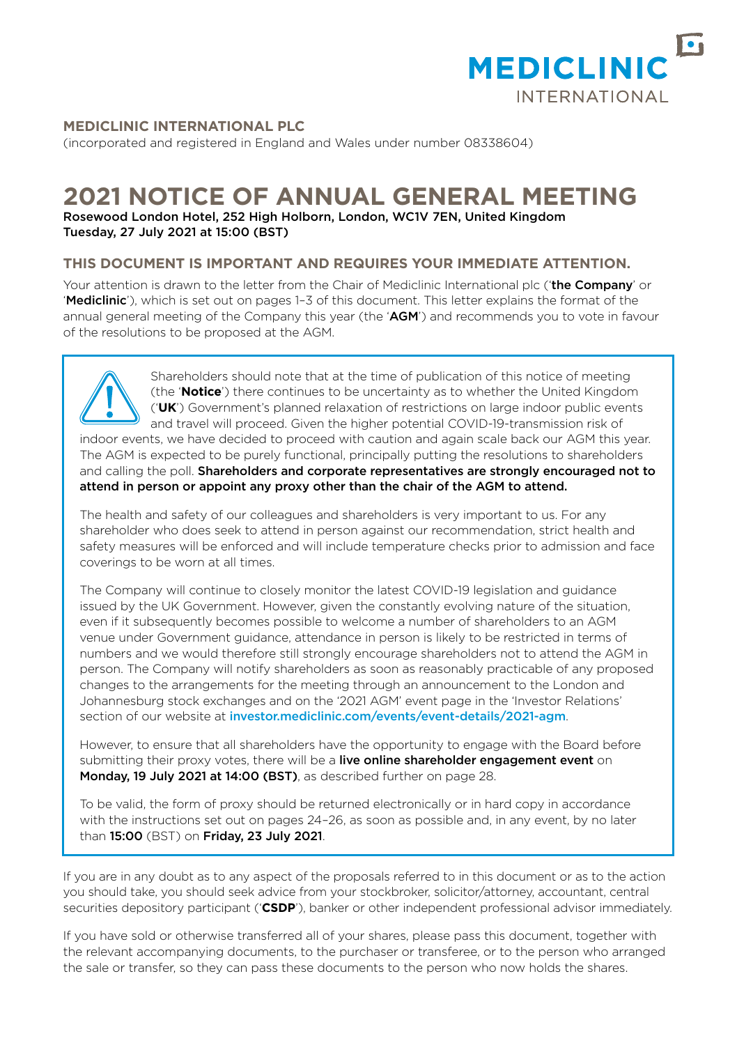

## **MEDICLINIC INTERNATIONAL PLC**

(incorporated and registered in England and Wales under number 08338604)

## **2021 NOTICE OF ANNUAL GENERAL MEETING**

Rosewood London Hotel, 252 High Holborn, London, WC1V 7EN, United Kingdom Tuesday, 27 July 2021 at 15:00 (BST)

### **THIS DOCUMENT IS IMPORTANT AND REQUIRES YOUR IMMEDIATE ATTENTION.**

Your attention is drawn to the letter from the Chair of Mediclinic International plc ('the Company' or 'Mediclinic'), which is set out on pages 1-3 of this document. This letter explains the format of the annual general meeting of the Company this year (the 'AGM') and recommends you to vote in favour of the resolutions to be proposed at the AGM.



Shareholders should note that at the time of publication of this notice of meeting (the '**Notice**') there continues to be uncertainty as to whether the United Kingdom ('**UK**') Government's planned relaxation of restrictions on large indoor public events and travel will proceed. Given the higher potential COVID-19-transmission risk of indoor events, we have decided to proceed with caution and again scale back our AGM this year. The AGM is expected to be purely functional, principally putting the resolutions to shareholders

and calling the poll. Shareholders and corporate representatives are strongly encouraged not to attend in person or appoint any proxy other than the chair of the AGM to attend.

The health and safety of our colleagues and shareholders is very important to us. For any shareholder who does seek to attend in person against our recommendation, strict health and safety measures will be enforced and will include temperature checks prior to admission and face coverings to be worn at all times.

The Company will continue to closely monitor the latest COVID-19 legislation and guidance issued by the UK Government. However, given the constantly evolving nature of the situation, even if it subsequently becomes possible to welcome a number of shareholders to an AGM venue under Government guidance, attendance in person is likely to be restricted in terms of numbers and we would therefore still strongly encourage shareholders not to attend the AGM in person. The Company will notify shareholders as soon as reasonably practicable of any proposed changes to the arrangements for the meeting through an announcement to the London and Johannesburg stock exchanges and on the '2021 AGM' event page in the 'Investor Relations' section of our website at [investor.mediclinic.com/events/event-details/2021-agm](http://investor.mediclinic.com/events/event-details/2021-agm).

However, to ensure that all shareholders have the opportunity to engage with the Board before submitting their proxy votes, there will be a live online shareholder engagement event on Monday, 19 July 2021 at 14:00 (BST), as described further on page 28.

To be valid, the form of proxy should be returned electronically or in hard copy in accordance with the instructions set out on pages 24–26, as soon as possible and, in any event, by no later than 15:00 (BST) on Friday, 23 July 2021.

If you are in any doubt as to any aspect of the proposals referred to in this document or as to the action you should take, you should seek advice from your stockbroker, solicitor/attorney, accountant, central securities depository participant ('**CSDP**'), banker or other independent professional advisor immediately.

If you have sold or otherwise transferred all of your shares, please pass this document, together with the relevant accompanying documents, to the purchaser or transferee, or to the person who arranged the sale or transfer, so they can pass these documents to the person who now holds the shares.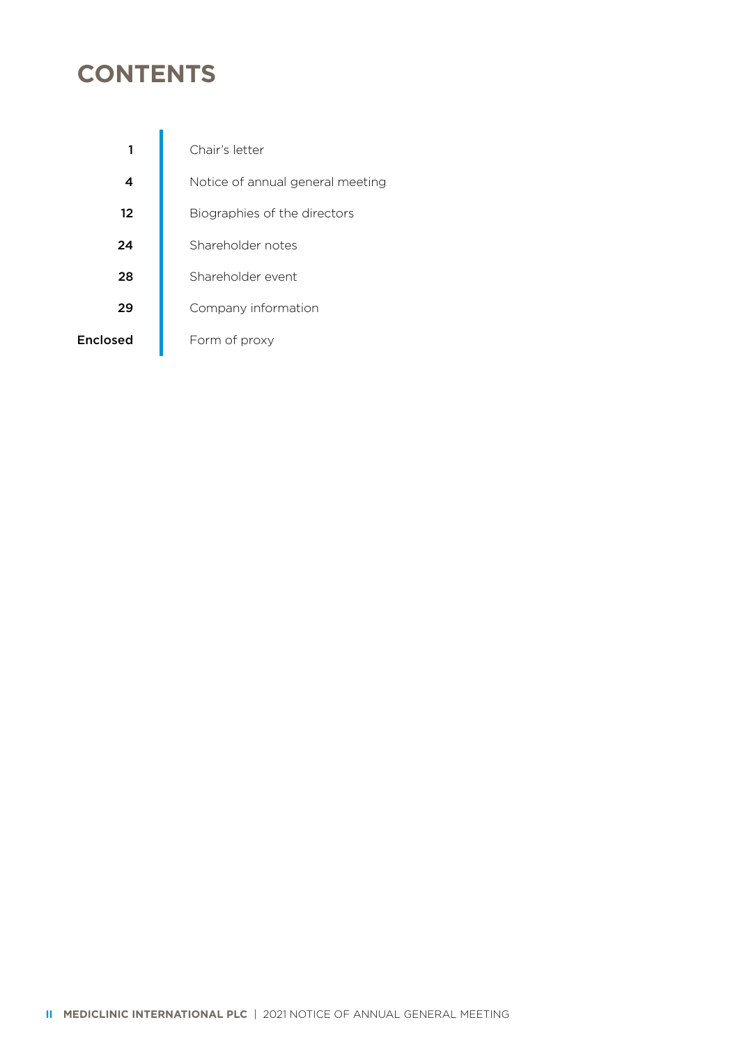## **CONTENTS**

|          | Chair's letter                   |
|----------|----------------------------------|
|          | Notice of annual general meeting |
| 12       | Biographies of the directors     |
| 24       | Shareholder notes                |
| 28       | Shareholder event                |
| 29       | Company information              |
| Enclosed | Form of proxy                    |
|          |                                  |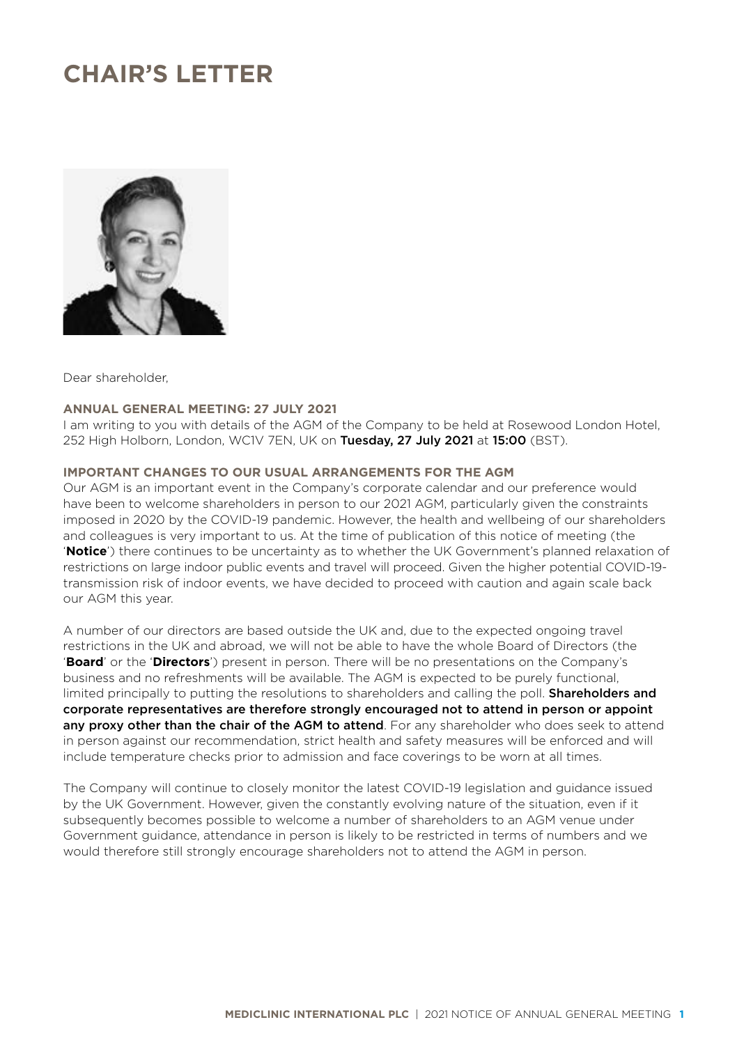## **CHAIR'S LETTER**



Dear shareholder,

### **ANNUAL GENERAL MEETING: 27 JULY 2021**

I am writing to you with details of the AGM of the Company to be held at Rosewood London Hotel, 252 High Holborn, London, WC1V 7EN, UK on Tuesday, 27 July 2021 at 15:00 (BST).

## **IMPORTANT CHANGES TO OUR USUAL ARRANGEMENTS FOR THE AGM**

Our AGM is an important event in the Company's corporate calendar and our preference would have been to welcome shareholders in person to our 2021 AGM, particularly given the constraints imposed in 2020 by the COVID-19 pandemic. However, the health and wellbeing of our shareholders and colleagues is very important to us. At the time of publication of this notice of meeting (the '**Notice**') there continues to be uncertainty as to whether the UK Government's planned relaxation of restrictions on large indoor public events and travel will proceed. Given the higher potential COVID-19 transmission risk of indoor events, we have decided to proceed with caution and again scale back our AGM this year.

A number of our directors are based outside the UK and, due to the expected ongoing travel restrictions in the UK and abroad, we will not be able to have the whole Board of Directors (the '**Board**' or the '**Directors**') present in person. There will be no presentations on the Company's business and no refreshments will be available. The AGM is expected to be purely functional, limited principally to putting the resolutions to shareholders and calling the poll. **Shareholders and** corporate representatives are therefore strongly encouraged not to attend in person or appoint any proxy other than the chair of the AGM to attend. For any shareholder who does seek to attend in person against our recommendation, strict health and safety measures will be enforced and will include temperature checks prior to admission and face coverings to be worn at all times.

The Company will continue to closely monitor the latest COVID-19 legislation and guidance issued by the UK Government. However, given the constantly evolving nature of the situation, even if it subsequently becomes possible to welcome a number of shareholders to an AGM venue under Government guidance, attendance in person is likely to be restricted in terms of numbers and we would therefore still strongly encourage shareholders not to attend the AGM in person.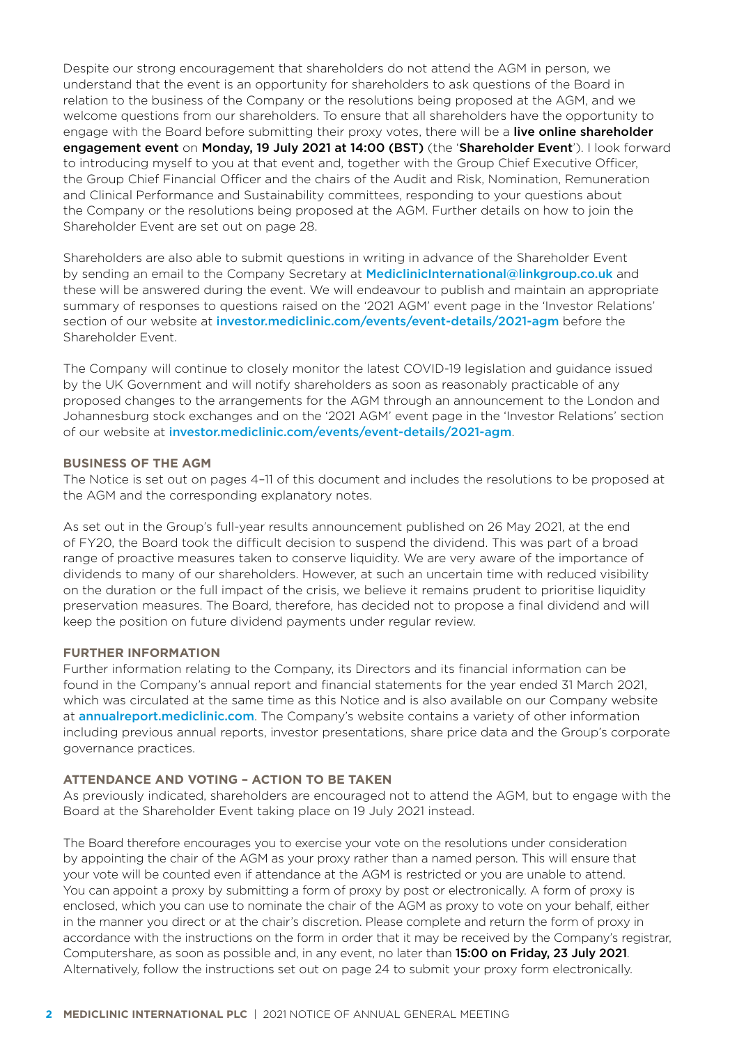Despite our strong encouragement that shareholders do not attend the AGM in person, we understand that the event is an opportunity for shareholders to ask questions of the Board in relation to the business of the Company or the resolutions being proposed at the AGM, and we welcome questions from our shareholders. To ensure that all shareholders have the opportunity to engage with the Board before submitting their proxy votes, there will be a live online shareholder engagement event on Monday, 19 July 2021 at 14:00 (BST) (the 'Shareholder Event'). I look forward to introducing myself to you at that event and, together with the Group Chief Executive Officer, the Group Chief Financial Officer and the chairs of the Audit and Risk, Nomination, Remuneration and Clinical Performance and Sustainability committees, responding to your questions about the Company or the resolutions being proposed at the AGM. Further details on how to join the Shareholder Event are set out on page 28.

Shareholders are also able to submit questions in writing in advance of the Shareholder Event by sending an email to the Company Secretary at [MediclinicInternational@linkgroup.co.uk](mailto:MediclinicInternational%40linkgroup.co.uk?subject=) and these will be answered during the event. We will endeavour to publish and maintain an appropriate summary of responses to questions raised on the '2021 AGM' event page in the 'Investor Relations' section of our website at [investor.mediclinic.com/events/event-details/2021-agm](http://investor.mediclinic.com/events/event-details/2021-agm) before the Shareholder Event.

The Company will continue to closely monitor the latest COVID-19 legislation and guidance issued by the UK Government and will notify shareholders as soon as reasonably practicable of any proposed changes to the arrangements for the AGM through an announcement to the London and Johannesburg stock exchanges and on the '2021 AGM' event page in the 'Investor Relations' section of our website at [investor.mediclinic.com/events/event-details/2021-agm](http://investor.mediclinic.com/events/event-details/2021-agm).

#### **BUSINESS OF THE AGM**

The Notice is set out on pages 4–11 of this document and includes the resolutions to be proposed at the AGM and the corresponding explanatory notes.

As set out in the Group's full-year results announcement published on 26 May 2021, at the end of FY20, the Board took the difficult decision to suspend the dividend. This was part of a broad range of proactive measures taken to conserve liquidity. We are very aware of the importance of dividends to many of our shareholders. However, at such an uncertain time with reduced visibility on the duration or the full impact of the crisis, we believe it remains prudent to prioritise liquidity preservation measures. The Board, therefore, has decided not to propose a final dividend and will keep the position on future dividend payments under regular review.

#### **FURTHER INFORMATION**

Further information relating to the Company, its Directors and its financial information can be found in the Company's annual report and financial statements for the year ended 31 March 2021, which was circulated at the same time as this Notice and is also available on our Company website at [annualreport.mediclinic.com](http://annualreport.mediclinic.com). The Company's website contains a variety of other information including previous annual reports, investor presentations, share price data and the Group's corporate governance practices.

#### **ATTENDANCE AND VOTING – ACTION TO BE TAKEN**

As previously indicated, shareholders are encouraged not to attend the AGM, but to engage with the Board at the Shareholder Event taking place on 19 July 2021 instead.

The Board therefore encourages you to exercise your vote on the resolutions under consideration by appointing the chair of the AGM as your proxy rather than a named person. This will ensure that your vote will be counted even if attendance at the AGM is restricted or you are unable to attend. You can appoint a proxy by submitting a form of proxy by post or electronically. A form of proxy is enclosed, which you can use to nominate the chair of the AGM as proxy to vote on your behalf, either in the manner you direct or at the chair's discretion. Please complete and return the form of proxy in accordance with the instructions on the form in order that it may be received by the Company's registrar, Computershare, as soon as possible and, in any event, no later than 15:00 on Friday, 23 July 2021. Alternatively, follow the instructions set out on page 24 to submit your proxy form electronically.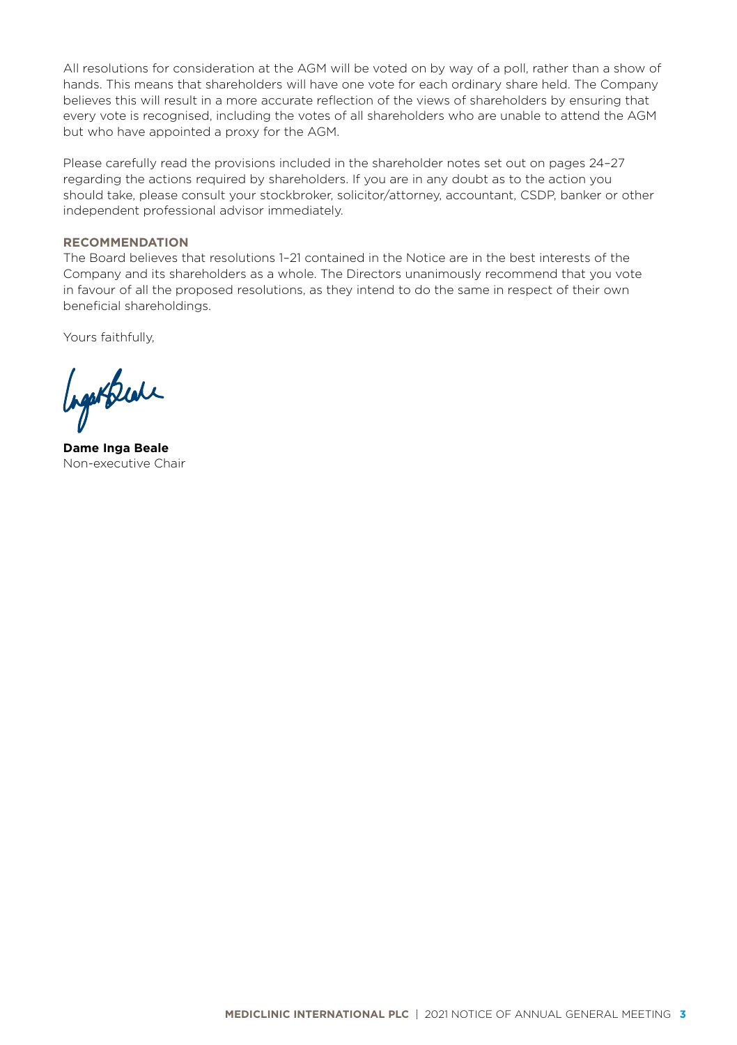All resolutions for consideration at the AGM will be voted on by way of a poll, rather than a show of hands. This means that shareholders will have one vote for each ordinary share held. The Company believes this will result in a more accurate reflection of the views of shareholders by ensuring that every vote is recognised, including the votes of all shareholders who are unable to attend the AGM but who have appointed a proxy for the AGM.

Please carefully read the provisions included in the shareholder notes set out on pages 24–27 regarding the actions required by shareholders. If you are in any doubt as to the action you should take, please consult your stockbroker, solicitor/attorney, accountant, CSDP, banker or other independent professional advisor immediately.

## **RECOMMENDATION**

The Board believes that resolutions 1–21 contained in the Notice are in the best interests of the Company and its shareholders as a whole. The Directors unanimously recommend that you vote in favour of all the proposed resolutions, as they intend to do the same in respect of their own beneficial shareholdings.

Yours faithfully,

Ingertrede

**Dame Inga Beale** Non-executive Chair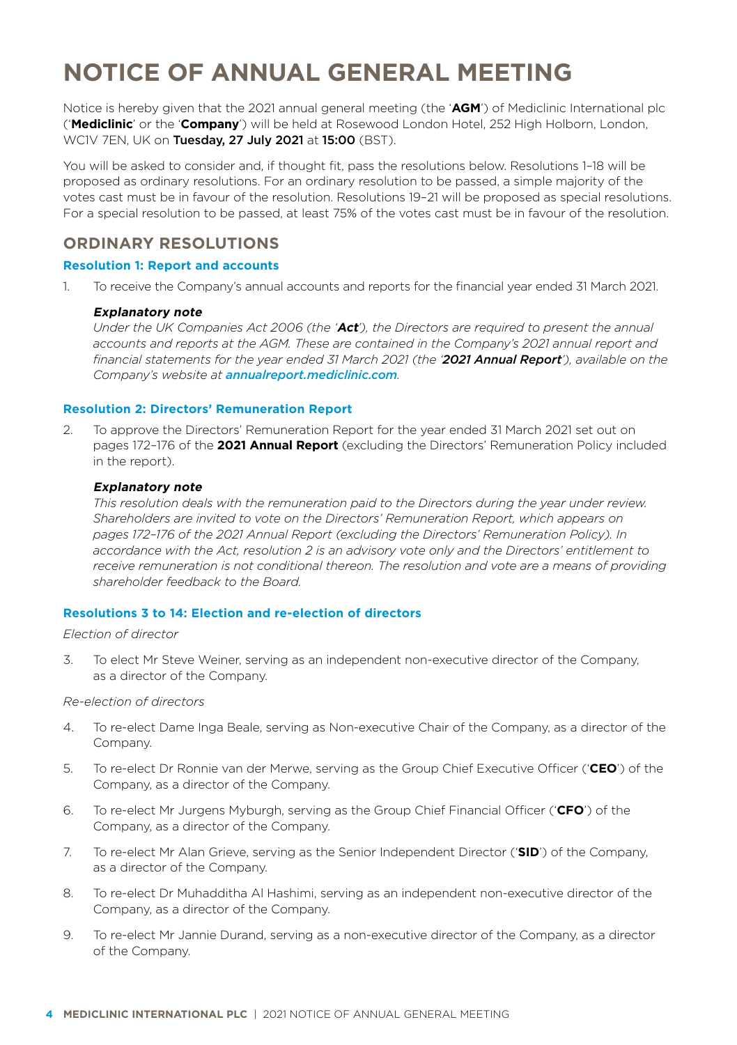## **NOTICE OF ANNUAL GENERAL MEETING**

Notice is hereby given that the 2021 annual general meeting (the '**AGM**') of Mediclinic International plc ('**Mediclinic**' or the '**Company**') will be held at Rosewood London Hotel, 252 High Holborn, London, WC1V 7EN, UK on Tuesday, 27 July 2021 at 15:00 (BST).

You will be asked to consider and, if thought fit, pass the resolutions below. Resolutions 1–18 will be proposed as ordinary resolutions. For an ordinary resolution to be passed, a simple majority of the votes cast must be in favour of the resolution. Resolutions 19–21 will be proposed as special resolutions. For a special resolution to be passed, at least 75% of the votes cast must be in favour of the resolution.

## **ORDINARY RESOLUTIONS**

### **Resolution 1: Report and accounts**

1. To receive the Company's annual accounts and reports for the financial year ended 31 March 2021.

#### **Explanatory note**

*Under the UK Companies Act 2006 (the '***Act***'), the Directors are required to present the annual*  accounts and reports at the AGM. These are contained in the Company's 2021 annual report and *financial statements for the year ended 31 March 2021 (the '2021 Annual Report'), available on the Company's website at annualrepor[t.mediclinic.com](http://investor.mediclinic.com/results-centre/results-and-reports).* 

#### **Resolution 2: Directors' Remuneration Report**

2. To approve the Directors' Remuneration Report for the year ended 31 March 2021 set out on pages 172–176 of the **2021 Annual Report** (excluding the Directors' Remuneration Policy included in the report).

#### **Explanatory note**

*This resolution deals with the remuneration paid to the Directors during the year under review. Shareholders are invited to vote on the Directors' Remuneration Report, which appears on pages 172–176 of the 2021 Annual Report (excluding the Directors' Remuneration Policy). In accordance with the Act, resolution 2 is an advisory vote only and the Directors' entitlement to receive remuneration is not conditional thereon. The resolution and vote are a means of providing shareholder feedback to the Board.*

#### **Resolutions 3 to 14: Election and re-election of directors**

#### *Election of director*

3. To elect Mr Steve Weiner, serving as an independent non-executive director of the Company, as a director of the Company.

#### *Re-election of directors*

- 4. To re-elect Dame Inga Beale, serving as Non-executive Chair of the Company, as a director of the Company.
- 5. To re-elect Dr Ronnie van der Merwe, serving as the Group Chief Executive Officer ('**CEO**') of the Company, as a director of the Company.
- 6. To re-elect Mr Jurgens Myburgh, serving as the Group Chief Financial Officer ('**CFO**') of the Company, as a director of the Company.
- 7. To re-elect Mr Alan Grieve, serving as the Senior Independent Director ('**SID**') of the Company, as a director of the Company.
- 8. To re-elect Dr Muhadditha Al Hashimi, serving as an independent non-executive director of the Company, as a director of the Company.
- 9. To re-elect Mr Jannie Durand, serving as a non-executive director of the Company, as a director of the Company.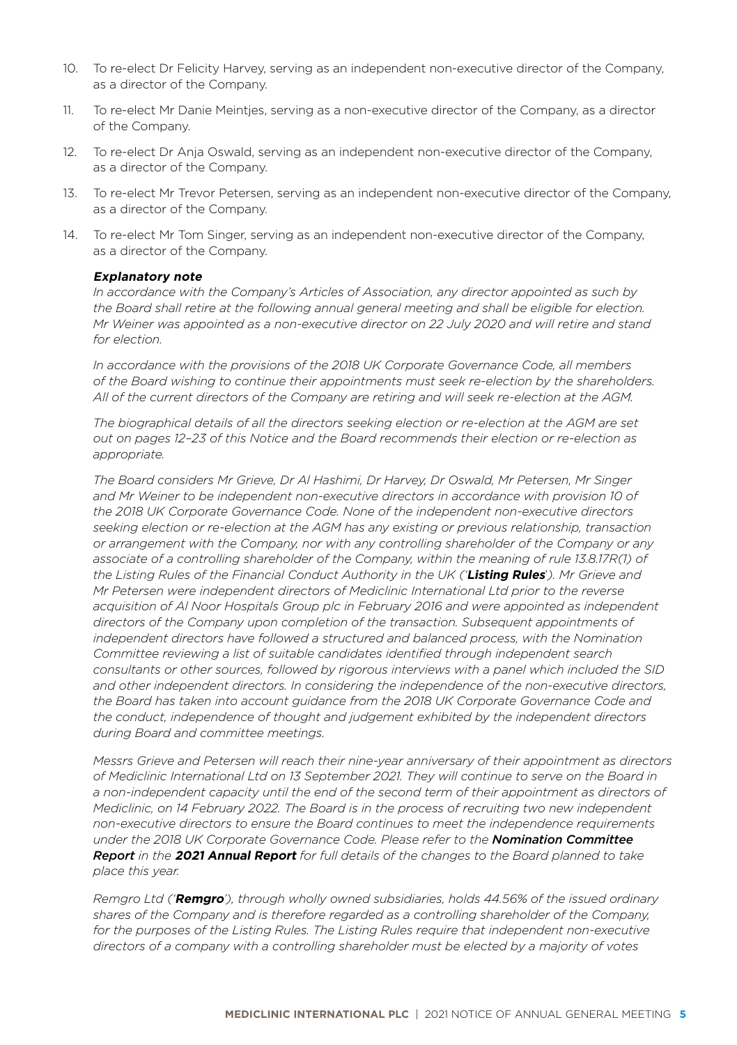- 10. To re-elect Dr Felicity Harvey, serving as an independent non-executive director of the Company, as a director of the Company.
- 11. To re-elect Mr Danie Meintjes, serving as a non-executive director of the Company, as a director of the Company.
- 12. To re-elect Dr Anja Oswald, serving as an independent non-executive director of the Company, as a director of the Company.
- 13. To re-elect Mr Trevor Petersen, serving as an independent non-executive director of the Company, as a director of the Company.
- 14. To re-elect Mr Tom Singer, serving as an independent non-executive director of the Company, as a director of the Company.

#### **Explanatory note**

*In accordance with the Company's Articles of Association, any director appointed as such by the Board shall retire at the following annual general meeting and shall be eligible for election. Mr Weiner was appointed as a non-executive director on 22 July 2020 and will retire and stand for election.*

*In accordance with the provisions of the 2018 UK Corporate Governance Code, all members of the Board wishing to continue their appointments must seek re-election by the shareholders. All of the current directors of the Company are retiring and will seek re-election at the AGM.* 

*The biographical details of all the directors seeking election or re-election at the AGM are set out on pages 12–23 of this Notice and the Board recommends their election or re-election as appropriate.*

*The Board considers Mr Grieve, Dr Al Hashimi, Dr Harvey, Dr Oswald, Mr Petersen, Mr Singer and Mr Weiner to be independent non-executive directors in accordance with provision 10 of the 2018 UK Corporate Governance Code. None of the independent non-executive directors seeking election or re-election at the AGM has any existing or previous relationship, transaction or arrangement with the Company, nor with any controlling shareholder of the Company or any associate of a controlling shareholder of the Company, within the meaning of rule 13.8.17R(1) of the Listing Rules of the Financial Conduct Authority in the UK ('***Listing Rules**'*). Mr Grieve and Mr Petersen were independent directors of Mediclinic International Ltd prior to the reverse acquisition of Al Noor Hospitals Group plc in February 2016 and were appointed as independent directors of the Company upon completion of the transaction. Subsequent appointments of independent directors have followed a structured and balanced process, with the Nomination Committee reviewing a list of suitable candidates identified through independent search consultants or other sources, followed by rigorous interviews with a panel which included the SID and other independent directors. In considering the independence of the non-executive directors, the Board has taken into account guidance from the 2018 UK Corporate Governance Code and the conduct, independence of thought and judgement exhibited by the independent directors during Board and committee meetings.*

*Messrs Grieve and Petersen will reach their nine-year anniversary of their appointment as directors of Mediclinic International Ltd on 13 September 2021. They will continue to serve on the Board in a non-independent capacity until the end of the second term of their appointment as directors of Mediclinic, on 14 February 2022. The Board is in the process of recruiting two new independent non-executive directors to ensure the Board continues to meet the independence requirements under the 2018 UK Corporate Governance Code. Please refer to the Nomination Committee Report in the* **2021 Annual Report** *for full details of the changes to the Board planned to take place this year.* 

*Remgro Ltd ('***Remgro***'), through wholly owned subsidiaries, holds 44.56% of the issued ordinary shares of the Company and is therefore regarded as a controlling shareholder of the Company,*  for the purposes of the Listing Rules. The Listing Rules require that independent non-executive *directors of a company with a controlling shareholder must be elected by a majority of votes*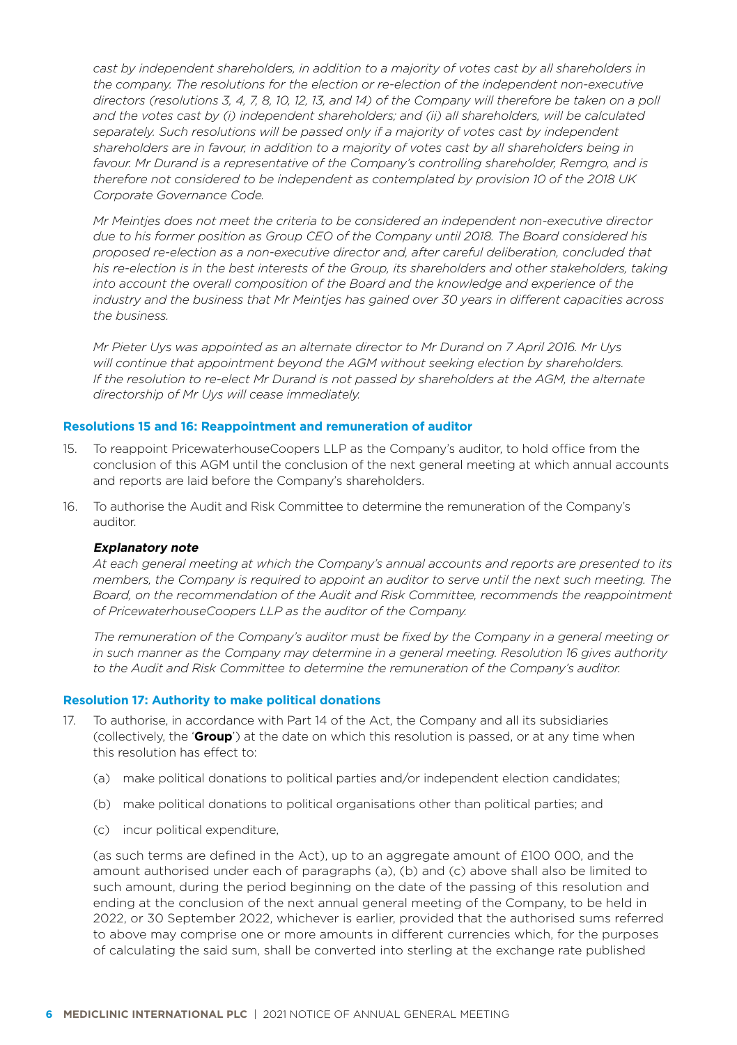*cast by independent shareholders, in addition to a majority of votes cast by all shareholders in the company. The resolutions for the election or re-election of the independent non-executive directors (resolutions 3, 4, 7, 8, 10, 12, 13, and 14) of the Company will therefore be taken on a poll and the votes cast by (i) independent shareholders; and (ii) all shareholders, will be calculated separately. Such resolutions will be passed only if a majority of votes cast by independent shareholders are in favour, in addition to a majority of votes cast by all shareholders being in favour. Mr Durand is a representative of the Company's controlling shareholder, Remgro, and is therefore not considered to be independent as contemplated by provision 10 of the 2018 UK Corporate Governance Code.* 

*Mr Meintjes does not meet the criteria to be considered an independent non-executive director due to his former position as Group CEO of the Company until 2018. The Board considered his proposed re-election as a non-executive director and, after careful deliberation, concluded that his re-election is in the best interests of the Group, its shareholders and other stakeholders, taking into account the overall composition of the Board and the knowledge and experience of the industry and the business that Mr Meintjes has gained over 30 years in different capacities across the business.*

*Mr Pieter Uys was appointed as an alternate director to Mr Durand on 7 April 2016. Mr Uys will continue that appointment beyond the AGM without seeking election by shareholders. If the resolution to re-elect Mr Durand is not passed by shareholders at the AGM, the alternate directorship of Mr Uys will cease immediately.* 

#### **Resolutions 15 and 16: Reappointment and remuneration of auditor**

- 15. To reappoint PricewaterhouseCoopers LLP as the Company's auditor, to hold office from the conclusion of this AGM until the conclusion of the next general meeting at which annual accounts and reports are laid before the Company's shareholders.
- 16. To authorise the Audit and Risk Committee to determine the remuneration of the Company's auditor.

#### **Explanatory note**

*At each general meeting at which the Company's annual accounts and reports are presented to its members, the Company is required to appoint an auditor to serve until the next such meeting. The Board, on the recommendation of the Audit and Risk Committee, recommends the reappointment of PricewaterhouseCoopers LLP as the auditor of the Company.*

*The remuneration of the Company's auditor must be fixed by the Company in a general meeting or in such manner as the Company may determine in a general meeting. Resolution 16 gives authority to the Audit and Risk Committee to determine the remuneration of the Company's auditor.*

#### **Resolution 17: Authority to make political donations**

- 17. To authorise, in accordance with Part 14 of the Act, the Company and all its subsidiaries (collectively, the '**Group**') at the date on which this resolution is passed, or at any time when this resolution has effect to:
	- (a) make political donations to political parties and/or independent election candidates;
	- (b) make political donations to political organisations other than political parties; and
	- (c) incur political expenditure,

(as such terms are defined in the Act), up to an aggregate amount of £100 000, and the amount authorised under each of paragraphs (a), (b) and (c) above shall also be limited to such amount, during the period beginning on the date of the passing of this resolution and ending at the conclusion of the next annual general meeting of the Company, to be held in 2022, or 30 September 2022, whichever is earlier, provided that the authorised sums referred to above may comprise one or more amounts in different currencies which, for the purposes of calculating the said sum, shall be converted into sterling at the exchange rate published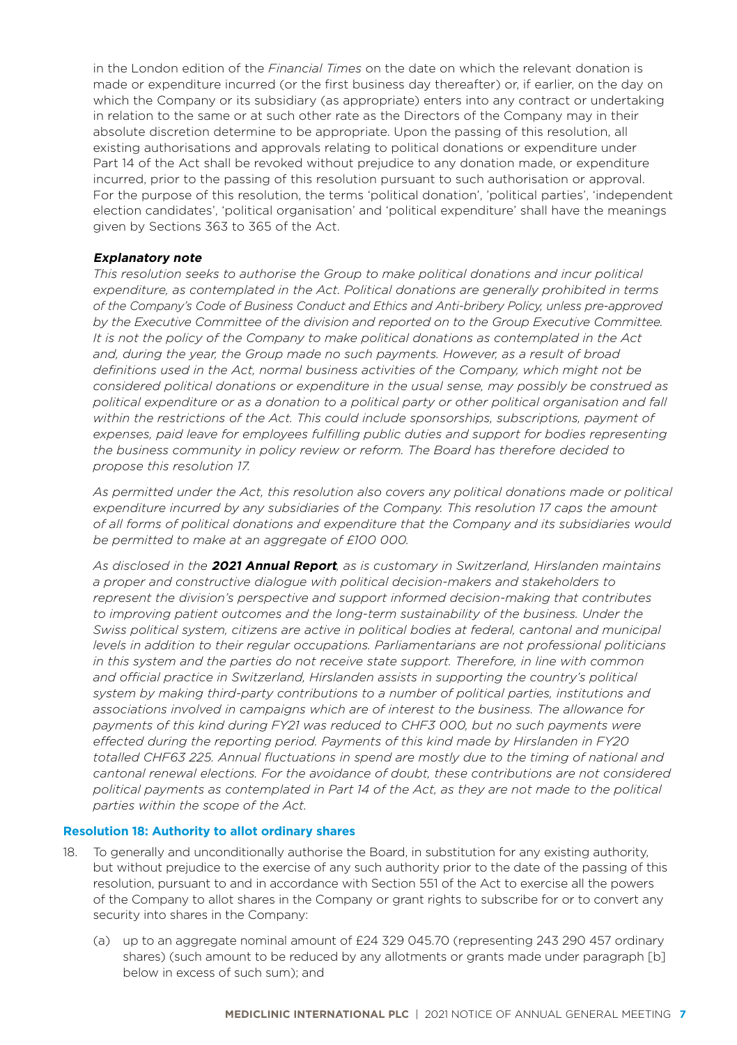in the London edition of the *Financial Times* on the date on which the relevant donation is made or expenditure incurred (or the first business day thereafter) or, if earlier, on the day on which the Company or its subsidiary (as appropriate) enters into any contract or undertaking in relation to the same or at such other rate as the Directors of the Company may in their absolute discretion determine to be appropriate. Upon the passing of this resolution, all existing authorisations and approvals relating to political donations or expenditure under Part 14 of the Act shall be revoked without prejudice to any donation made, or expenditure incurred, prior to the passing of this resolution pursuant to such authorisation or approval. For the purpose of this resolution, the terms 'political donation', 'political parties', 'independent election candidates', 'political organisation' and 'political expenditure' shall have the meanings given by Sections 363 to 365 of the Act.

#### **Explanatory note**

*This resolution seeks to authorise the Group to make political donations and incur political expenditure, as contemplated in the Act. Political donations are generally prohibited in terms of the Company's Code of Business Conduct and Ethics and Anti-bribery Policy, unless pre-approved by the Executive Committee of the division and reported on to the Group Executive Committee. It is not the policy of the Company to make political donations as contemplated in the Act and, during the year, the Group made no such payments. However, as a result of broad definitions used in the Act, normal business activities of the Company, which might not be considered political donations or expenditure in the usual sense, may possibly be construed as political expenditure or as a donation to a political party or other political organisation and fall*  within the restrictions of the Act. This could include sponsorships, subscriptions, payment of *expenses, paid leave for employees fulfilling public duties and support for bodies representing the business community in policy review or reform. The Board has therefore decided to propose this resolution 17.* 

*As permitted under the Act, this resolution also covers any political donations made or political*  expenditure incurred by any subsidiaries of the Company. This resolution 17 caps the amount *of all forms of political donations and expenditure that the Company and its subsidiaries would be permitted to make at an aggregate of £100 000.*

*As disclosed in the* **2021 Annual Report***, as is customary in Switzerland, Hirslanden maintains a proper and constructive dialogue with political decision-makers and stakeholders to represent the division's perspective and support informed decision-making that contributes*  to improving patient outcomes and the long-term sustainability of the business. Under the *Swiss political system, citizens are active in political bodies at federal, cantonal and municipal levels in addition to their regular occupations. Parliamentarians are not professional politicians in this system and the parties do not receive state support. Therefore, in line with common and official practice in Switzerland, Hirslanden assists in supporting the country's political system by making third-party contributions to a number of political parties, institutions and associations involved in campaigns which are of interest to the business. The allowance for payments of this kind during FY21 was reduced to CHF3 000, but no such payments were effected during the reporting period. Payments of this kind made by Hirslanden in FY20 totalled CHF63 225. Annual fluctuations in spend are mostly due to the timing of national and cantonal renewal elections. For the avoidance of doubt, these contributions are not considered*  political payments as contemplated in Part 14 of the Act, as they are not made to the political *parties within the scope of the Act.*

#### **Resolution 18: Authority to allot ordinary shares**

- 18. To generally and unconditionally authorise the Board, in substitution for any existing authority, but without prejudice to the exercise of any such authority prior to the date of the passing of this resolution, pursuant to and in accordance with Section 551 of the Act to exercise all the powers of the Company to allot shares in the Company or grant rights to subscribe for or to convert any security into shares in the Company:
	- (a) up to an aggregate nominal amount of £24 329 045.70 (representing 243 290 457 ordinary shares) (such amount to be reduced by any allotments or grants made under paragraph [b] below in excess of such sum); and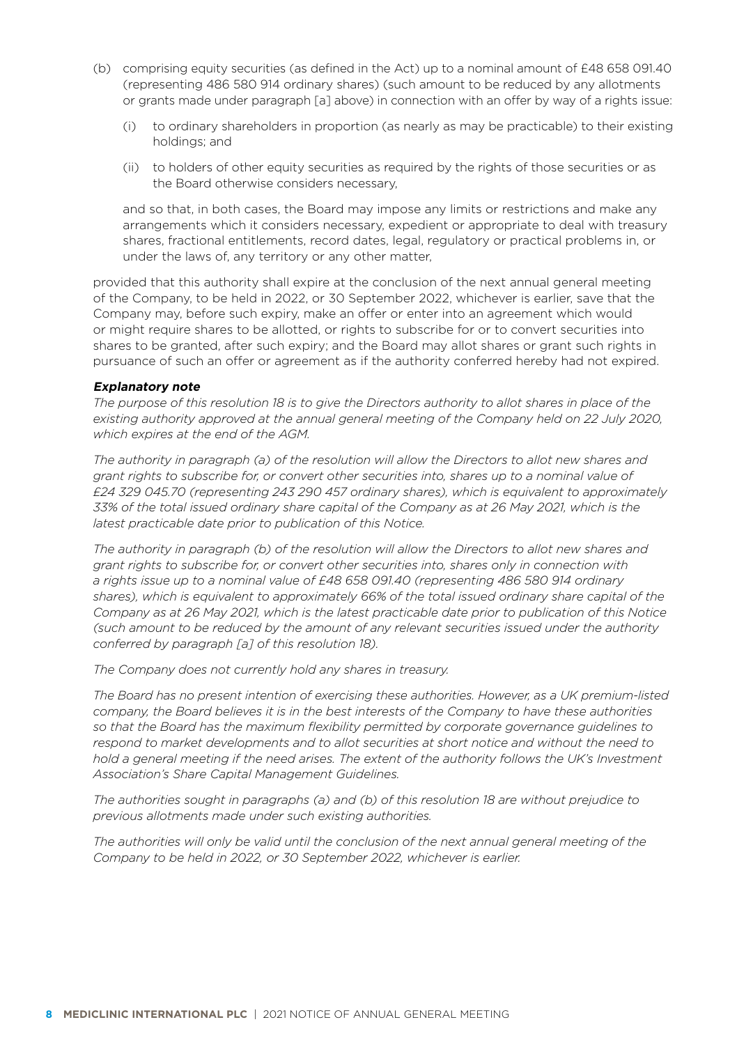- (b) comprising equity securities (as defined in the Act) up to a nominal amount of £48 658 091.40 (representing 486 580 914 ordinary shares) (such amount to be reduced by any allotments or grants made under paragraph [a] above) in connection with an offer by way of a rights issue:
	- (i) to ordinary shareholders in proportion (as nearly as may be practicable) to their existing holdings; and
	- (ii) to holders of other equity securities as required by the rights of those securities or as the Board otherwise considers necessary,

and so that, in both cases, the Board may impose any limits or restrictions and make any arrangements which it considers necessary, expedient or appropriate to deal with treasury shares, fractional entitlements, record dates, legal, regulatory or practical problems in, or under the laws of, any territory or any other matter,

provided that this authority shall expire at the conclusion of the next annual general meeting of the Company, to be held in 2022, or 30 September 2022, whichever is earlier, save that the Company may, before such expiry, make an offer or enter into an agreement which would or might require shares to be allotted, or rights to subscribe for or to convert securities into shares to be granted, after such expiry; and the Board may allot shares or grant such rights in pursuance of such an offer or agreement as if the authority conferred hereby had not expired.

#### **Explanatory note**

*The purpose of this resolution 18 is to give the Directors authority to allot shares in place of the existing authority approved at the annual general meeting of the Company held on 22 July 2020, which expires at the end of the AGM.* 

*The authority in paragraph (a) of the resolution will allow the Directors to allot new shares and grant rights to subscribe for, or convert other securities into, shares up to a nominal value of £24 329 045.70 (representing 243 290 457 ordinary shares), which is equivalent to approximately 33% of the total issued ordinary share capital of the Company as at 26 May 2021, which is the latest practicable date prior to publication of this Notice.*

*The authority in paragraph (b) of the resolution will allow the Directors to allot new shares and grant rights to subscribe for, or convert other securities into, shares only in connection with a rights issue up to a nominal value of £48 658 091.40 (representing 486 580 914 ordinary shares), which is equivalent to approximately 66% of the total issued ordinary share capital of the Company as at 26 May 2021, which is the latest practicable date prior to publication of this Notice (such amount to be reduced by the amount of any relevant securities issued under the authority conferred by paragraph [a] of this resolution 18).*

*The Company does not currently hold any shares in treasury.*

*The Board has no present intention of exercising these authorities. However, as a UK premium-listed company, the Board believes it is in the best interests of the Company to have these authorities so that the Board has the maximum flexibility permitted by corporate governance guidelines to respond to market developments and to allot securities at short notice and without the need to hold a general meeting if the need arises. The extent of the authority follows the UK's Investment Association's Share Capital Management Guidelines.* 

*The authorities sought in paragraphs (a) and (b) of this resolution 18 are without prejudice to previous allotments made under such existing authorities.*

*The authorities will only be valid until the conclusion of the next annual general meeting of the Company to be held in 2022, or 30 September 2022, whichever is earlier.*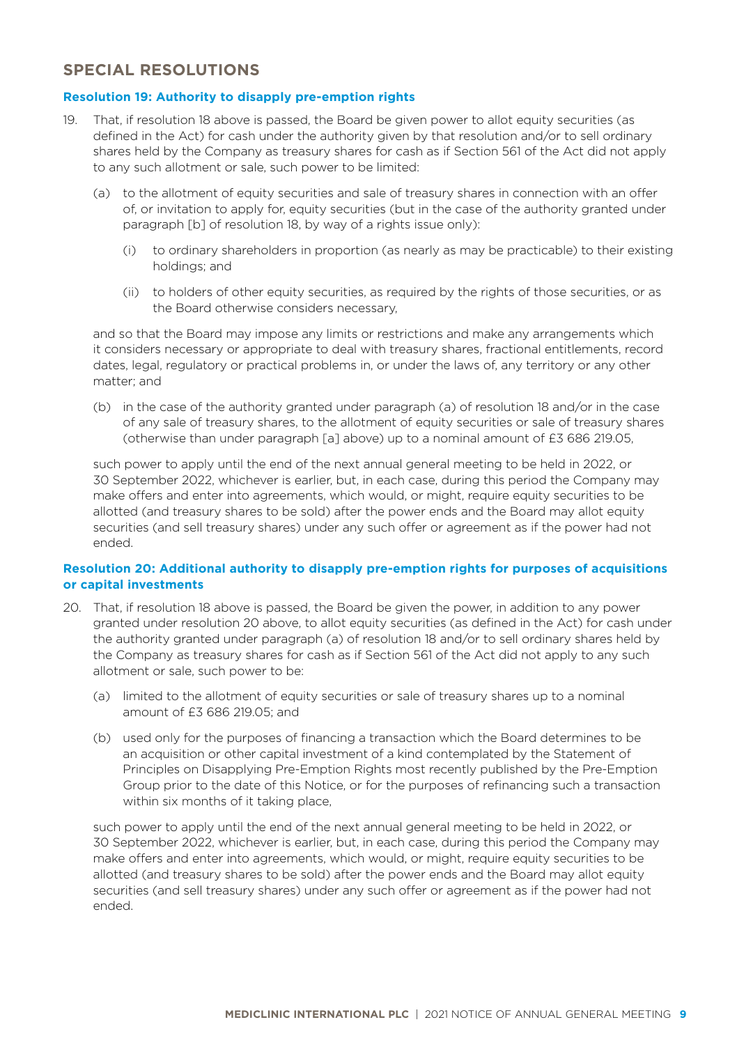## **SPECIAL RESOLUTIONS**

#### **Resolution 19: Authority to disapply pre-emption rights**

- 19. That, if resolution 18 above is passed, the Board be given power to allot equity securities (as defined in the Act) for cash under the authority given by that resolution and/or to sell ordinary shares held by the Company as treasury shares for cash as if Section 561 of the Act did not apply to any such allotment or sale, such power to be limited:
	- (a) to the allotment of equity securities and sale of treasury shares in connection with an offer of, or invitation to apply for, equity securities (but in the case of the authority granted under paragraph [b] of resolution 18, by way of a rights issue only):
		- (i) to ordinary shareholders in proportion (as nearly as may be practicable) to their existing holdings; and
		- (ii) to holders of other equity securities, as required by the rights of those securities, or as the Board otherwise considers necessary,

and so that the Board may impose any limits or restrictions and make any arrangements which it considers necessary or appropriate to deal with treasury shares, fractional entitlements, record dates, legal, regulatory or practical problems in, or under the laws of, any territory or any other matter; and

(b) in the case of the authority granted under paragraph (a) of resolution 18 and/or in the case of any sale of treasury shares, to the allotment of equity securities or sale of treasury shares (otherwise than under paragraph [a] above) up to a nominal amount of £3 686 219.05,

such power to apply until the end of the next annual general meeting to be held in 2022, or 30 September 2022, whichever is earlier, but, in each case, during this period the Company may make offers and enter into agreements, which would, or might, require equity securities to be allotted (and treasury shares to be sold) after the power ends and the Board may allot equity securities (and sell treasury shares) under any such offer or agreement as if the power had not ended.

#### **Resolution 20: Additional authority to disapply pre-emption rights for purposes of acquisitions or capital investments**

- 20. That, if resolution 18 above is passed, the Board be given the power, in addition to any power granted under resolution 20 above, to allot equity securities (as defined in the Act) for cash under the authority granted under paragraph (a) of resolution 18 and/or to sell ordinary shares held by the Company as treasury shares for cash as if Section 561 of the Act did not apply to any such allotment or sale, such power to be:
	- (a) limited to the allotment of equity securities or sale of treasury shares up to a nominal amount of £3 686 219.05; and
	- (b) used only for the purposes of financing a transaction which the Board determines to be an acquisition or other capital investment of a kind contemplated by the Statement of Principles on Disapplying Pre-Emption Rights most recently published by the Pre-Emption Group prior to the date of this Notice, or for the purposes of refinancing such a transaction within six months of it taking place,

such power to apply until the end of the next annual general meeting to be held in 2022, or 30 September 2022, whichever is earlier, but, in each case, during this period the Company may make offers and enter into agreements, which would, or might, require equity securities to be allotted (and treasury shares to be sold) after the power ends and the Board may allot equity securities (and sell treasury shares) under any such offer or agreement as if the power had not ended.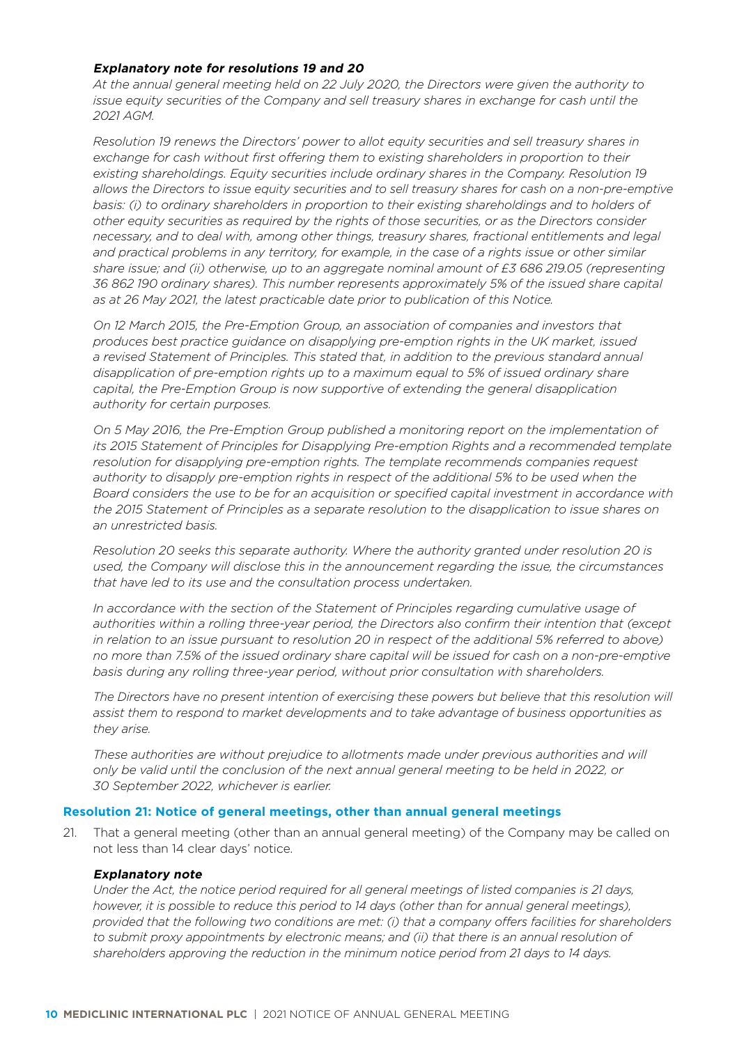### **Explanatory note for resolutions 19 and 20**

*At the annual general meeting held on 22 July 2020, the Directors were given the authority to issue equity securities of the Company and sell treasury shares in exchange for cash until the 2021 AGM.*

*Resolution 19 renews the Directors' power to allot equity securities and sell treasury shares in exchange for cash without first offering them to existing shareholders in proportion to their existing shareholdings. Equity securities include ordinary shares in the Company. Resolution 19 allows the Directors to issue equity securities and to sell treasury shares for cash on a non-pre-emptive basis: (i) to ordinary shareholders in proportion to their existing shareholdings and to holders of other equity securities as required by the rights of those securities, or as the Directors consider necessary, and to deal with, among other things, treasury shares, fractional entitlements and legal and practical problems in any territory, for example, in the case of a rights issue or other similar share issue; and (ii) otherwise, up to an aggregate nominal amount of £3 686 219.05 (representing 36 862 190 ordinary shares). This number represents approximately 5% of the issued share capital as at 26 May 2021, the latest practicable date prior to publication of this Notice.*

*On 12 March 2015, the Pre-Emption Group, an association of companies and investors that produces best practice guidance on disapplying pre-emption rights in the UK market, issued a revised Statement of Principles. This stated that, in addition to the previous standard annual disapplication of pre-emption rights up to a maximum equal to 5% of issued ordinary share capital, the Pre-Emption Group is now supportive of extending the general disapplication authority for certain purposes.* 

*On 5 May 2016, the Pre-Emption Group published a monitoring report on the implementation of its 2015 Statement of Principles for Disapplying Pre-emption Rights and a recommended template resolution for disapplying pre-emption rights. The template recommends companies request authority to disapply pre-emption rights in respect of the additional 5% to be used when the Board considers the use to be for an acquisition or specified capital investment in accordance with the 2015 Statement of Principles as a separate resolution to the disapplication to issue shares on an unrestricted basis.*

*Resolution 20 seeks this separate authority. Where the authority granted under resolution 20 is used, the Company will disclose this in the announcement regarding the issue, the circumstances that have led to its use and the consultation process undertaken.*

*In accordance with the section of the Statement of Principles regarding cumulative usage of authorities within a rolling three-year period, the Directors also confirm their intention that (except in relation to an issue pursuant to resolution 20 in respect of the additional 5% referred to above) no more than 7.5% of the issued ordinary share capital will be issued for cash on a non-pre-emptive basis during any rolling three-year period, without prior consultation with shareholders.*

*The Directors have no present intention of exercising these powers but believe that this resolution will assist them to respond to market developments and to take advantage of business opportunities as they arise.*

*These authorities are without prejudice to allotments made under previous authorities and will only be valid until the conclusion of the next annual general meeting to be held in 2022, or 30 September 2022, whichever is earlier.* 

#### **Resolution 21: Notice of general meetings, other than annual general meetings**

21. That a general meeting (other than an annual general meeting) of the Company may be called on not less than 14 clear days' notice.

#### **Explanatory note**

*Under the Act, the notice period required for all general meetings of listed companies is 21 days, however, it is possible to reduce this period to 14 days (other than for annual general meetings), provided that the following two conditions are met: (i) that a company offers facilities for shareholders*  to submit proxy appointments by electronic means; and (ii) that there is an annual resolution of *shareholders approving the reduction in the minimum notice period from 21 days to 14 days.*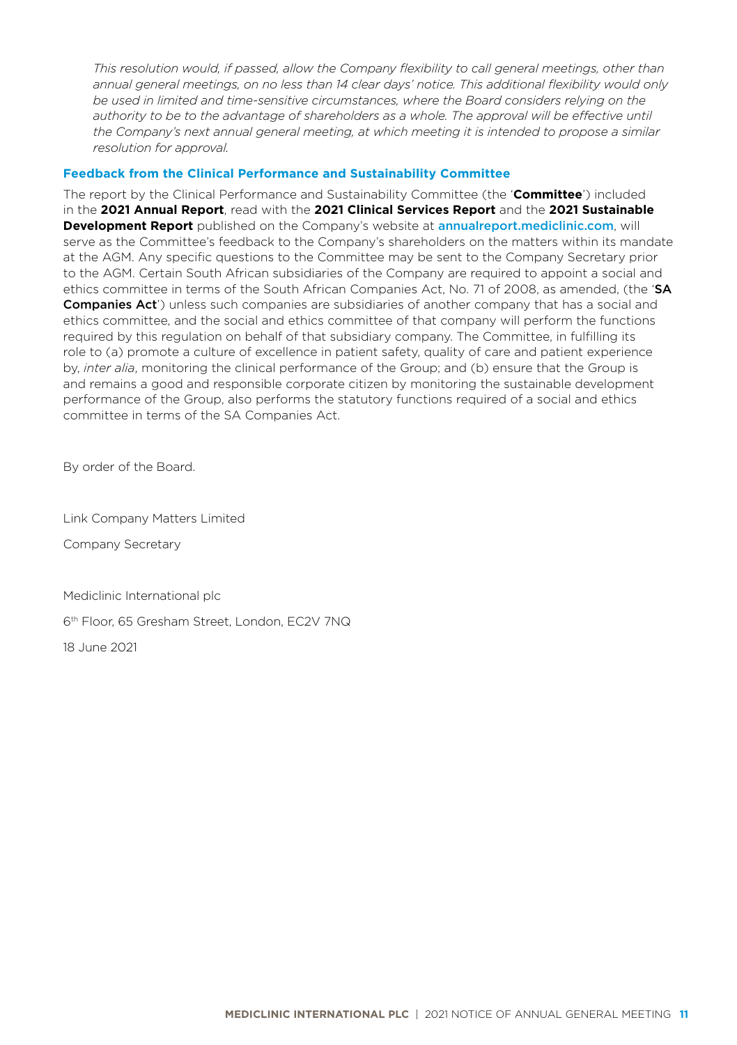*This resolution would, if passed, allow the Company flexibility to call general meetings, other than annual general meetings, on no less than 14 clear days' notice. This additional flexibility would only be used in limited and time-sensitive circumstances, where the Board considers relying on the*  authority to be to the advantage of shareholders as a whole. The approval will be effective until *the Company's next annual general meeting, at which meeting it is intended to propose a similar resolution for approval.*

#### **Feedback from the Clinical Performance and Sustainability Committee**

The report by the Clinical Performance and Sustainability Committee (the '**Committee**') included in the **2021 Annual Report**, read with the **2021 Clinical Services Report** and the **2021 Sustainable Development Report** published on the Company's website at annualreport.[mediclinic.com](http://investor.mediclinic.com/results-centre/results-and-reports), will serve as the Committee's feedback to the Company's shareholders on the matters within its mandate at the AGM. Any specific questions to the Committee may be sent to the Company Secretary prior to the AGM. Certain South African subsidiaries of the Company are required to appoint a social and ethics committee in terms of the South African Companies Act, No. 71 of 2008, as amended, (the 'SA Companies Act') unless such companies are subsidiaries of another company that has a social and ethics committee, and the social and ethics committee of that company will perform the functions required by this regulation on behalf of that subsidiary company. The Committee, in fulfilling its role to (a) promote a culture of excellence in patient safety, quality of care and patient experience by, *inter alia*, monitoring the clinical performance of the Group; and (b) ensure that the Group is and remains a good and responsible corporate citizen by monitoring the sustainable development performance of the Group, also performs the statutory functions required of a social and ethics committee in terms of the SA Companies Act.

By order of the Board.

Link Company Matters Limited

Company Secretary

Mediclinic International plc

6th Floor, 65 Gresham Street, London, EC2V 7NQ

18 June 2021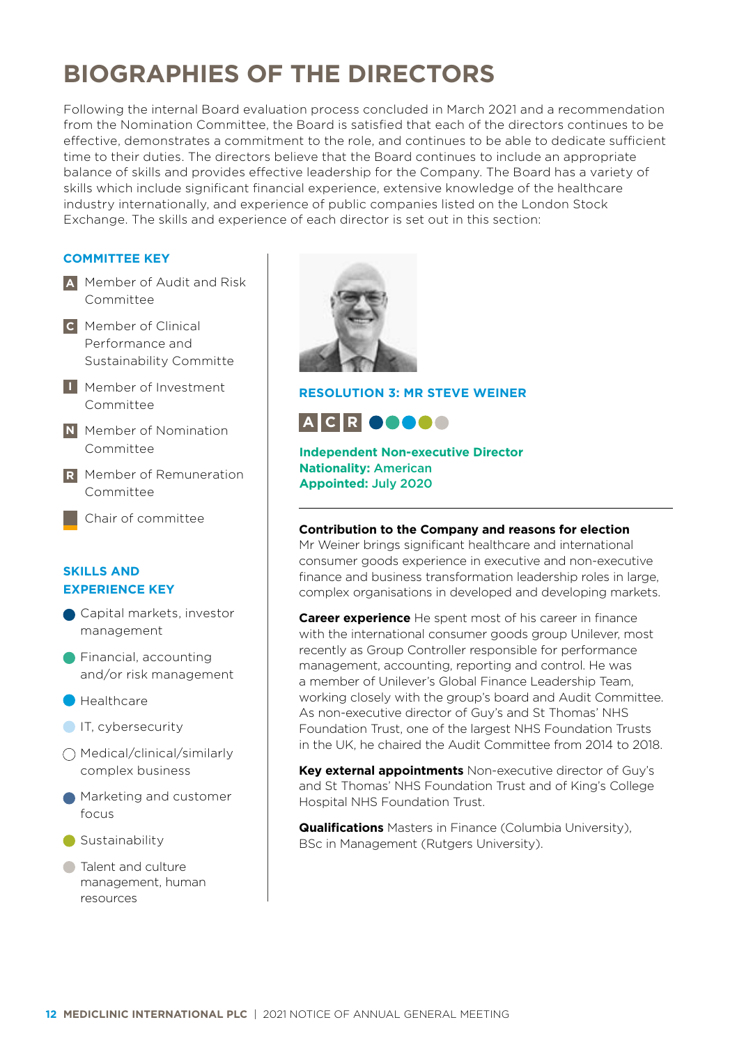## **BIOGRAPHIES OF THE DIRECTORS**

Following the internal Board evaluation process concluded in March 2021 and a recommendation from the Nomination Committee, the Board is satisfied that each of the directors continues to be effective, demonstrates a commitment to the role, and continues to be able to dedicate sufficient time to their duties. The directors believe that the Board continues to include an appropriate balance of skills and provides effective leadership for the Company. The Board has a variety of skills which include significant financial experience, extensive knowledge of the healthcare industry internationally, and experience of public companies listed on the London Stock Exchange. The skills and experience of each director is set out in this section:

## **COMMITTEE KEY**

- Member of Audit and Risk **A** Committee
- Member of Clinical **C** Performance and Sustainability Committe
- Member of Investment **I** Committee
- **N** Member of Nomination Committee
- Member of Remuneration **R** Committee
	- Chair of committee

## **SKILLS AND EXPERIENCE KEY**

- Capital markets, investor management
- **Financial, accounting** and/or risk management
- **Healthcare**
- IT, cybersecurity
- Medical/clinical/similarly complex business
- Marketing and customer focus
- Sustainability
- **Talent and culture** management, human resources



## **RESOLUTION 3: MR STEVE WEINER**

**A C R**

**Independent Non-executive Director Nationality:** American **Appointed:** July 2020

#### **Contribution to the Company and reasons for election**

Mr Weiner brings significant healthcare and international consumer goods experience in executive and non-executive finance and business transformation leadership roles in large, complex organisations in developed and developing markets.

**Career experience** He spent most of his career in finance with the international consumer goods group Unilever, most recently as Group Controller responsible for performance management, accounting, reporting and control. He was a member of Unilever's Global Finance Leadership Team, working closely with the group's board and Audit Committee. As non-executive director of Guy's and St Thomas' NHS Foundation Trust, one of the largest NHS Foundation Trusts in the UK, he chaired the Audit Committee from 2014 to 2018.

**Key external appointments** Non-executive director of Guy's and St Thomas' NHS Foundation Trust and of King's College Hospital NHS Foundation Trust.

**Qualifications** Masters in Finance (Columbia University), BSc in Management (Rutgers University).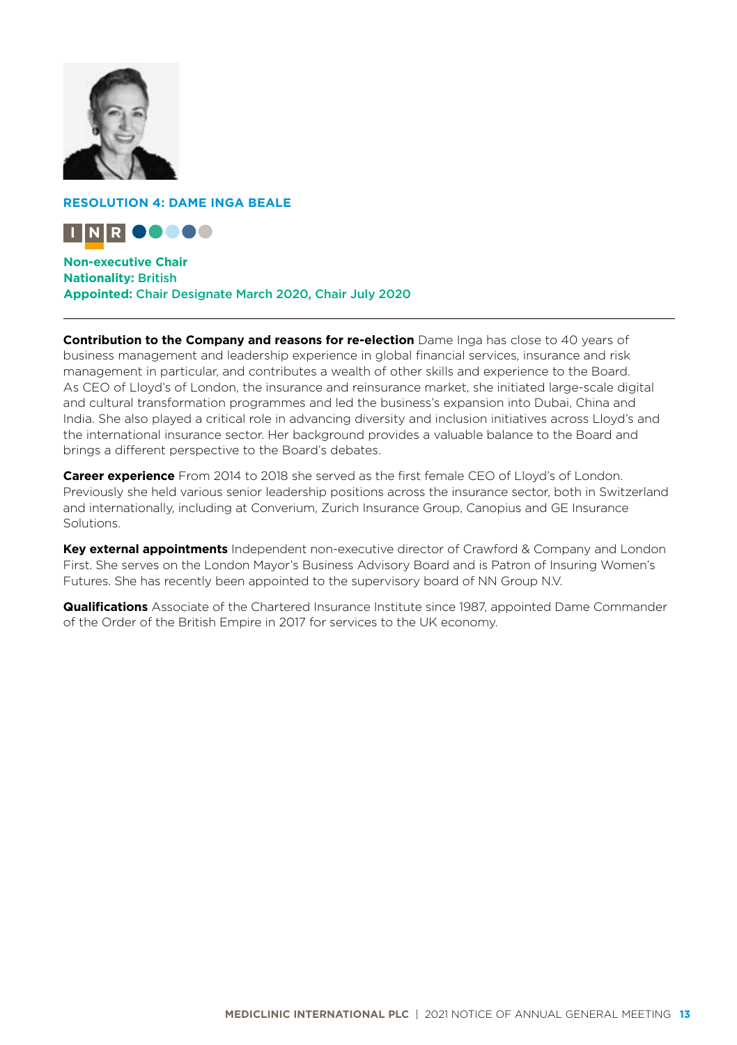

## **RESOLUTION 4: DAME INGA BEALE**



**Non-executive Chair Nationality:** British **Appointed:** Chair Designate March 2020, Chair July 2020

**Contribution to the Company and reasons for re-election** Dame Inga has close to 40 years of business management and leadership experience in global financial services, insurance and risk management in particular, and contributes a wealth of other skills and experience to the Board. As CEO of Lloyd's of London, the insurance and reinsurance market, she initiated large-scale digital and cultural transformation programmes and led the business's expansion into Dubai, China and India. She also played a critical role in advancing diversity and inclusion initiatives across Lloyd's and the international insurance sector. Her background provides a valuable balance to the Board and brings a different perspective to the Board's debates.

**Career experience** From 2014 to 2018 she served as the first female CEO of Lloyd's of London. Previously she held various senior leadership positions across the insurance sector, both in Switzerland and internationally, including at Converium, Zurich Insurance Group, Canopius and GE Insurance Solutions.

**Key external appointments** Independent non-executive director of Crawford & Company and London First. She serves on the London Mayor's Business Advisory Board and is Patron of Insuring Women's Futures. She has recently been appointed to the supervisory board of NN Group N.V.

**Qualifications** Associate of the Chartered Insurance Institute since 1987, appointed Dame Commander of the Order of the British Empire in 2017 for services to the UK economy.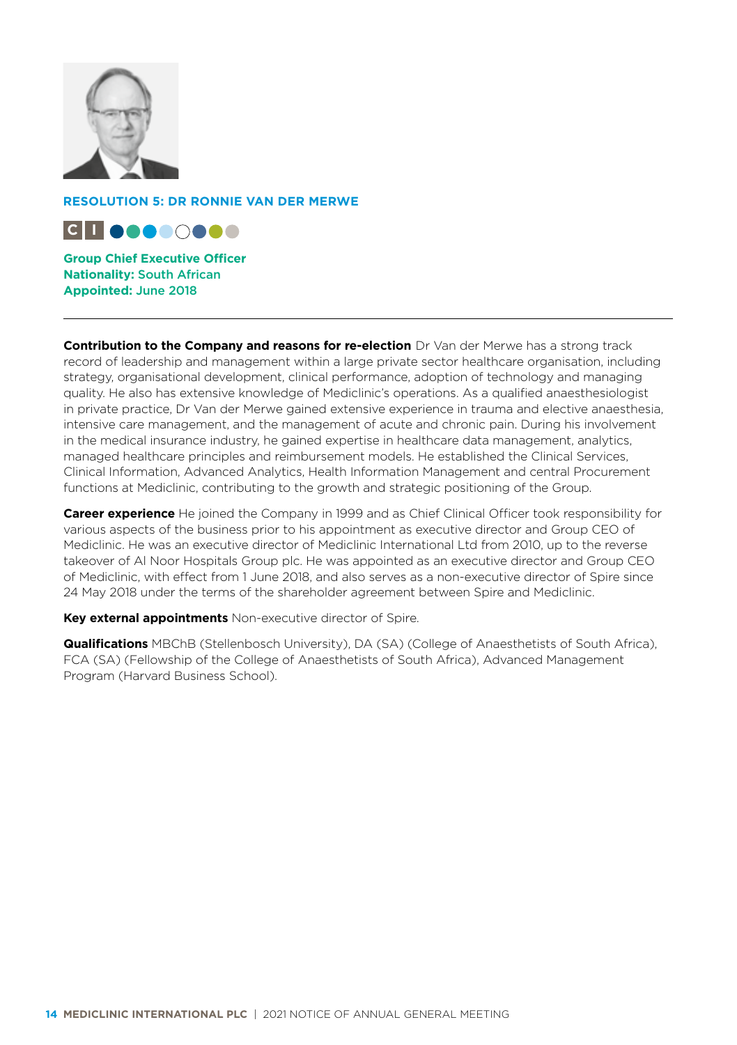

## **RESOLUTION 5: DR RONNIE VAN DER MERWE**



**Group Chief Executive Officer Nationality:** South African **Appointed:** June 2018

**Contribution to the Company and reasons for re-election** Dr Van der Merwe has a strong track record of leadership and management within a large private sector healthcare organisation, including strategy, organisational development, clinical performance, adoption of technology and managing quality. He also has extensive knowledge of Mediclinic's operations. As a qualified anaesthesiologist in private practice, Dr Van der Merwe gained extensive experience in trauma and elective anaesthesia, intensive care management, and the management of acute and chronic pain. During his involvement in the medical insurance industry, he gained expertise in healthcare data management, analytics, managed healthcare principles and reimbursement models. He established the Clinical Services, Clinical Information, Advanced Analytics, Health Information Management and central Procurement functions at Mediclinic, contributing to the growth and strategic positioning of the Group.

**Career experience** He joined the Company in 1999 and as Chief Clinical Officer took responsibility for various aspects of the business prior to his appointment as executive director and Group CEO of Mediclinic. He was an executive director of Mediclinic International Ltd from 2010, up to the reverse takeover of Al Noor Hospitals Group plc. He was appointed as an executive director and Group CEO of Mediclinic, with effect from 1 June 2018, and also serves as a non-executive director of Spire since 24 May 2018 under the terms of the shareholder agreement between Spire and Mediclinic.

**Key external appointments** Non-executive director of Spire.

**Qualifications** MBChB (Stellenbosch University), DA (SA) (College of Anaesthetists of South Africa), FCA (SA) (Fellowship of the College of Anaesthetists of South Africa), Advanced Management Program (Harvard Business School).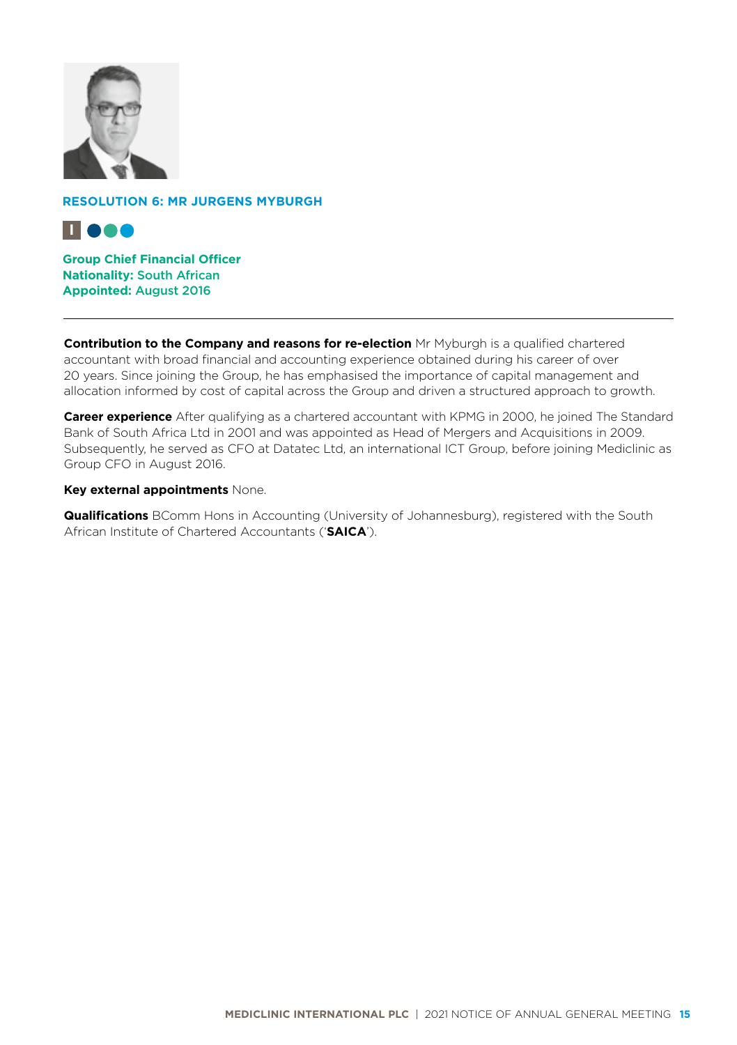

### **RESOLUTION 6: MR JURGENS MYBURGH**



**Group Chief Financial Officer Nationality:** South African **Appointed:** August 2016

**Contribution to the Company and reasons for re-election** Mr Myburgh is a qualified chartered accountant with broad financial and accounting experience obtained during his career of over 20 years. Since joining the Group, he has emphasised the importance of capital management and allocation informed by cost of capital across the Group and driven a structured approach to growth.

**Career experience** After qualifying as a chartered accountant with KPMG in 2000, he joined The Standard Bank of South Africa Ltd in 2001 and was appointed as Head of Mergers and Acquisitions in 2009. Subsequently, he served as CFO at Datatec Ltd, an international ICT Group, before joining Mediclinic as Group CFO in August 2016.

#### **Key external appointments** None.

**Qualifications** BComm Hons in Accounting (University of Johannesburg), registered with the South African Institute of Chartered Accountants ('**SAICA**').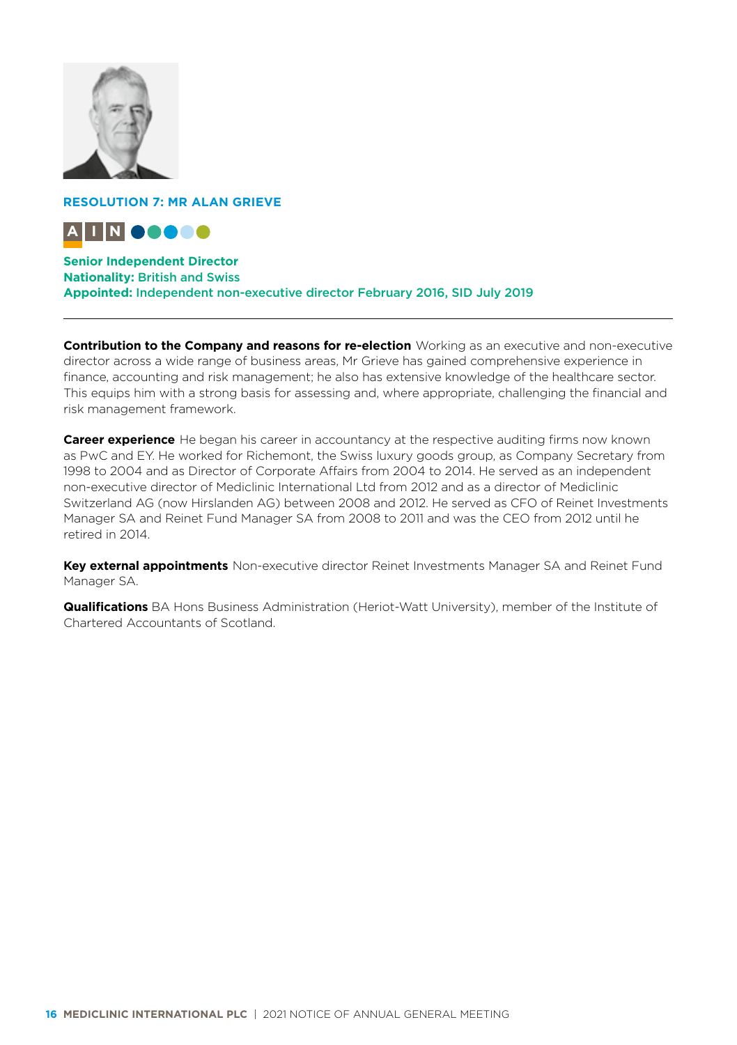

## **RESOLUTION 7: MR ALAN GRIEVE**



## **Senior Independent Director**

**Nationality:** British and Swiss **Appointed:** Independent non-executive director February 2016, SID July 2019

**Contribution to the Company and reasons for re-election** Working as an executive and non-executive director across a wide range of business areas, Mr Grieve has gained comprehensive experience in finance, accounting and risk management; he also has extensive knowledge of the healthcare sector. This equips him with a strong basis for assessing and, where appropriate, challenging the financial and risk management framework.

**Career experience** He began his career in accountancy at the respective auditing firms now known as PwC and EY. He worked for Richemont, the Swiss luxury goods group, as Company Secretary from 1998 to 2004 and as Director of Corporate Affairs from 2004 to 2014. He served as an independent non-executive director of Mediclinic International Ltd from 2012 and as a director of Mediclinic Switzerland AG (now Hirslanden AG) between 2008 and 2012. He served as CFO of Reinet Investments Manager SA and Reinet Fund Manager SA from 2008 to 2011 and was the CEO from 2012 until he retired in 2014.

**Key external appointments** Non-executive director Reinet Investments Manager SA and Reinet Fund Manager SA.

**Qualifications** BA Hons Business Administration (Heriot-Watt University), member of the Institute of Chartered Accountants of Scotland.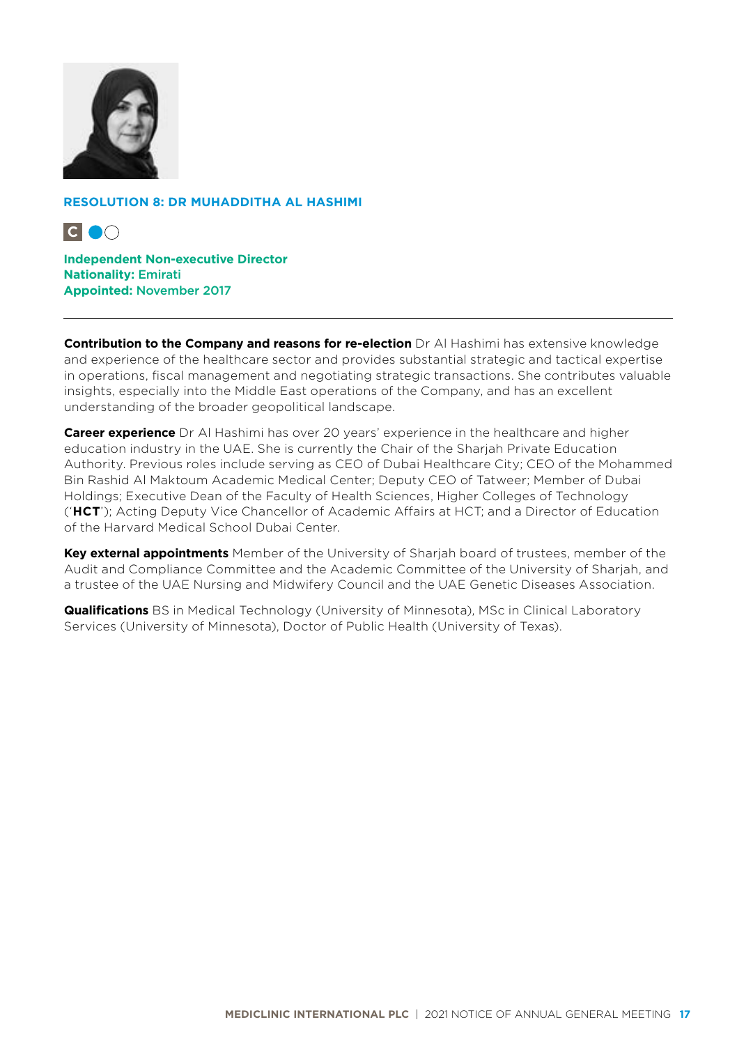

## **RESOLUTION 8: DR MUHADDITHA AL HASHIMI**



**Independent Non-executive Director Nationality:** Emirati **Appointed:** November 2017

**Contribution to the Company and reasons for re-election** Dr Al Hashimi has extensive knowledge and experience of the healthcare sector and provides substantial strategic and tactical expertise in operations, fiscal management and negotiating strategic transactions. She contributes valuable insights, especially into the Middle East operations of the Company, and has an excellent understanding of the broader geopolitical landscape.

**Career experience** Dr Al Hashimi has over 20 years' experience in the healthcare and higher education industry in the UAE. She is currently the Chair of the Sharjah Private Education Authority. Previous roles include serving as CEO of Dubai Healthcare City; CEO of the Mohammed Bin Rashid Al Maktoum Academic Medical Center; Deputy CEO of Tatweer; Member of Dubai Holdings; Executive Dean of the Faculty of Health Sciences, Higher Colleges of Technology ('**HCT**'); Acting Deputy Vice Chancellor of Academic Affairs at HCT; and a Director of Education of the Harvard Medical School Dubai Center.

**Key external appointments** Member of the University of Sharjah board of trustees, member of the Audit and Compliance Committee and the Academic Committee of the University of Sharjah, and a trustee of the UAE Nursing and Midwifery Council and the UAE Genetic Diseases Association.

**Qualifications** BS in Medical Technology (University of Minnesota), MSc in Clinical Laboratory Services (University of Minnesota), Doctor of Public Health (University of Texas).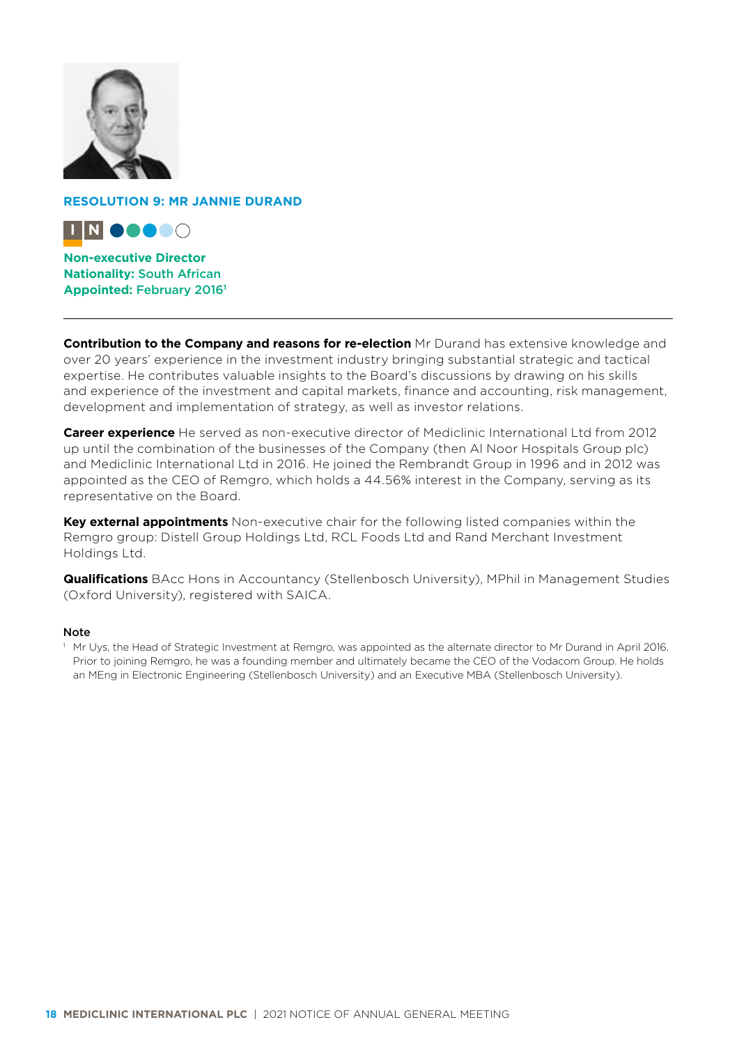

**RESOLUTION 9: MR JANNIE DURAND**



**Non-executive Director Nationality:** South African **Appointed:** February 2016**<sup>1</sup>**

**Contribution to the Company and reasons for re-election** Mr Durand has extensive knowledge and over 20 years' experience in the investment industry bringing substantial strategic and tactical expertise. He contributes valuable insights to the Board's discussions by drawing on his skills and experience of the investment and capital markets, finance and accounting, risk management, development and implementation of strategy, as well as investor relations.

**Career experience** He served as non-executive director of Mediclinic International Ltd from 2012 up until the combination of the businesses of the Company (then Al Noor Hospitals Group plc) and Mediclinic International Ltd in 2016. He joined the Rembrandt Group in 1996 and in 2012 was appointed as the CEO of Remgro, which holds a 44.56% interest in the Company, serving as its representative on the Board.

**Key external appointments** Non-executive chair for the following listed companies within the Remgro group: Distell Group Holdings Ltd, RCL Foods Ltd and Rand Merchant Investment Holdings Ltd.

**Qualifications** BAcc Hons in Accountancy (Stellenbosch University), MPhil in Management Studies (Oxford University), registered with SAICA.

#### Note

<sup>1</sup> Mr Uys, the Head of Strategic Investment at Remgro, was appointed as the alternate director to Mr Durand in April 2016. Prior to joining Remgro, he was a founding member and ultimately became the CEO of the Vodacom Group. He holds an MEng in Electronic Engineering (Stellenbosch University) and an Executive MBA (Stellenbosch University).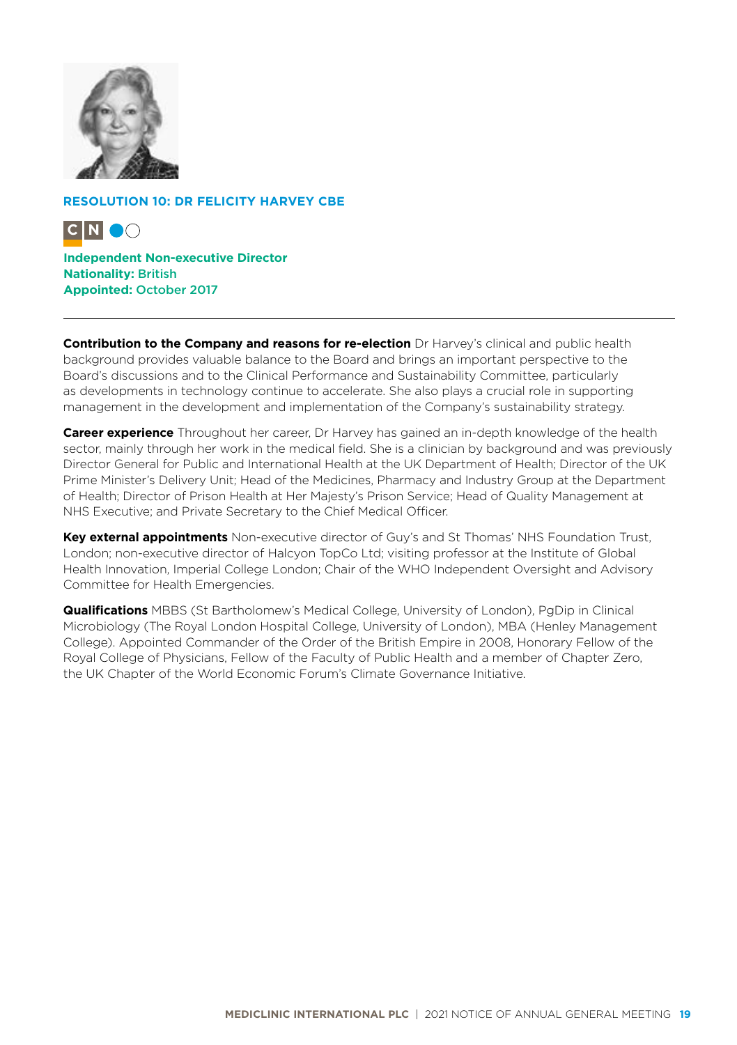

## **RESOLUTION 10: DR FELICITY HARVEY CBE**



**Independent Non-executive Director Nationality:** British **Appointed:** October 2017

**Contribution to the Company and reasons for re-election** Dr Harvey's clinical and public health background provides valuable balance to the Board and brings an important perspective to the Board's discussions and to the Clinical Performance and Sustainability Committee, particularly as developments in technology continue to accelerate. She also plays a crucial role in supporting management in the development and implementation of the Company's sustainability strategy.

**Career experience** Throughout her career, Dr Harvey has gained an in-depth knowledge of the health sector, mainly through her work in the medical field. She is a clinician by background and was previously Director General for Public and International Health at the UK Department of Health; Director of the UK Prime Minister's Delivery Unit; Head of the Medicines, Pharmacy and Industry Group at the Department of Health; Director of Prison Health at Her Majesty's Prison Service; Head of Quality Management at NHS Executive; and Private Secretary to the Chief Medical Officer.

**Key external appointments** Non-executive director of Guy's and St Thomas' NHS Foundation Trust, London; non-executive director of Halcyon TopCo Ltd; visiting professor at the Institute of Global Health Innovation, Imperial College London; Chair of the WHO Independent Oversight and Advisory Committee for Health Emergencies.

**Qualifications** MBBS (St Bartholomew's Medical College, University of London), PgDip in Clinical Microbiology (The Royal London Hospital College, University of London), MBA (Henley Management College). Appointed Commander of the Order of the British Empire in 2008, Honorary Fellow of the Royal College of Physicians, Fellow of the Faculty of Public Health and a member of Chapter Zero, the UK Chapter of the World Economic Forum's Climate Governance Initiative.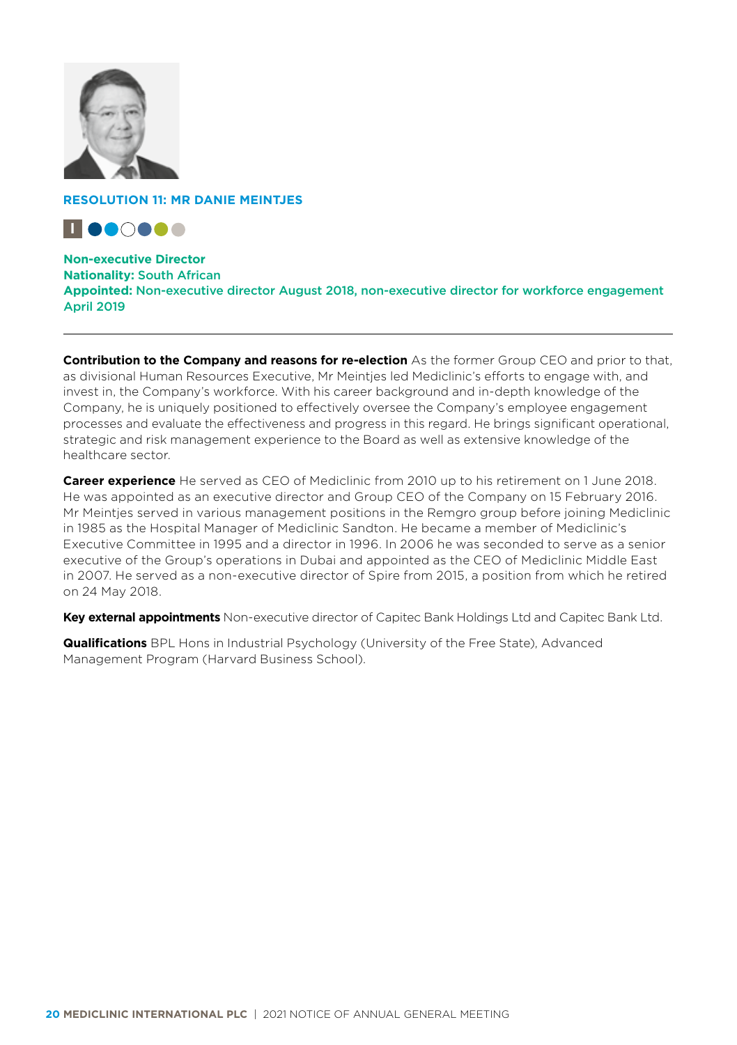

## **RESOLUTION 11: MR DANIE MEINTJES**



**Non-executive Director Nationality:** South African **Appointed:** Non-executive director August 2018, non-executive director for workforce engagement April 2019

**Contribution to the Company and reasons for re-election** As the former Group CEO and prior to that, as divisional Human Resources Executive, Mr Meinties led Mediclinic's efforts to engage with, and invest in, the Company's workforce. With his career background and in-depth knowledge of the Company, he is uniquely positioned to effectively oversee the Company's employee engagement processes and evaluate the effectiveness and progress in this regard. He brings significant operational, strategic and risk management experience to the Board as well as extensive knowledge of the healthcare sector.

**Career experience** He served as CEO of Mediclinic from 2010 up to his retirement on 1 June 2018. He was appointed as an executive director and Group CEO of the Company on 15 February 2016. Mr Meintjes served in various management positions in the Remgro group before joining Mediclinic in 1985 as the Hospital Manager of Mediclinic Sandton. He became a member of Mediclinic's Executive Committee in 1995 and a director in 1996. In 2006 he was seconded to serve as a senior executive of the Group's operations in Dubai and appointed as the CEO of Mediclinic Middle East in 2007. He served as a non-executive director of Spire from 2015, a position from which he retired on 24 May 2018.

**Key external appointments** Non-executive director of Capitec Bank Holdings Ltd and Capitec Bank Ltd.

**Qualifications** BPL Hons in Industrial Psychology (University of the Free State), Advanced Management Program (Harvard Business School).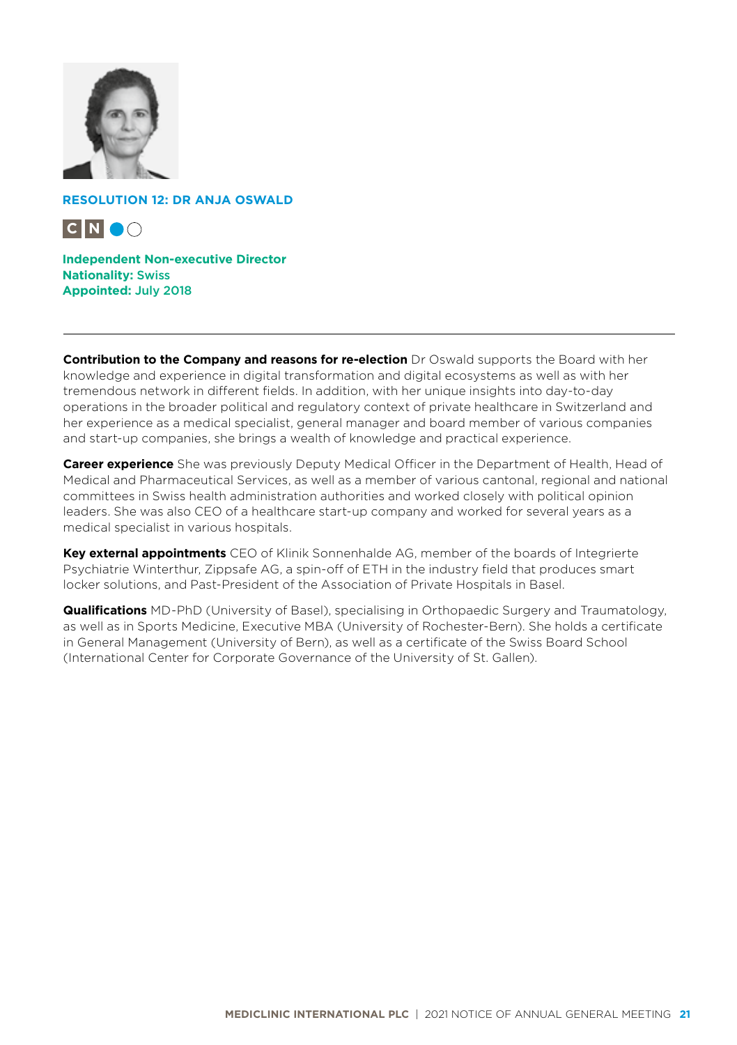

**RESOLUTION 12: DR ANJA OSWALD**



**Independent Non-executive Director Nationality:** Swiss **Appointed:** July 2018

**Contribution to the Company and reasons for re-election** Dr Oswald supports the Board with her knowledge and experience in digital transformation and digital ecosystems as well as with her tremendous network in different fields. In addition, with her unique insights into day-to-day operations in the broader political and regulatory context of private healthcare in Switzerland and her experience as a medical specialist, general manager and board member of various companies and start-up companies, she brings a wealth of knowledge and practical experience.

**Career experience** She was previously Deputy Medical Officer in the Department of Health, Head of Medical and Pharmaceutical Services, as well as a member of various cantonal, regional and national committees in Swiss health administration authorities and worked closely with political opinion leaders. She was also CEO of a healthcare start-up company and worked for several years as a medical specialist in various hospitals.

**Key external appointments** CEO of Klinik Sonnenhalde AG, member of the boards of Integrierte Psychiatrie Winterthur, Zippsafe AG, a spin-off of ETH in the industry field that produces smart locker solutions, and Past-President of the Association of Private Hospitals in Basel.

**Qualifications** MD-PhD (University of Basel), specialising in Orthopaedic Surgery and Traumatology, as well as in Sports Medicine, Executive MBA (University of Rochester-Bern). She holds a certificate in General Management (University of Bern), as well as a certificate of the Swiss Board School (International Center for Corporate Governance of the University of St. Gallen).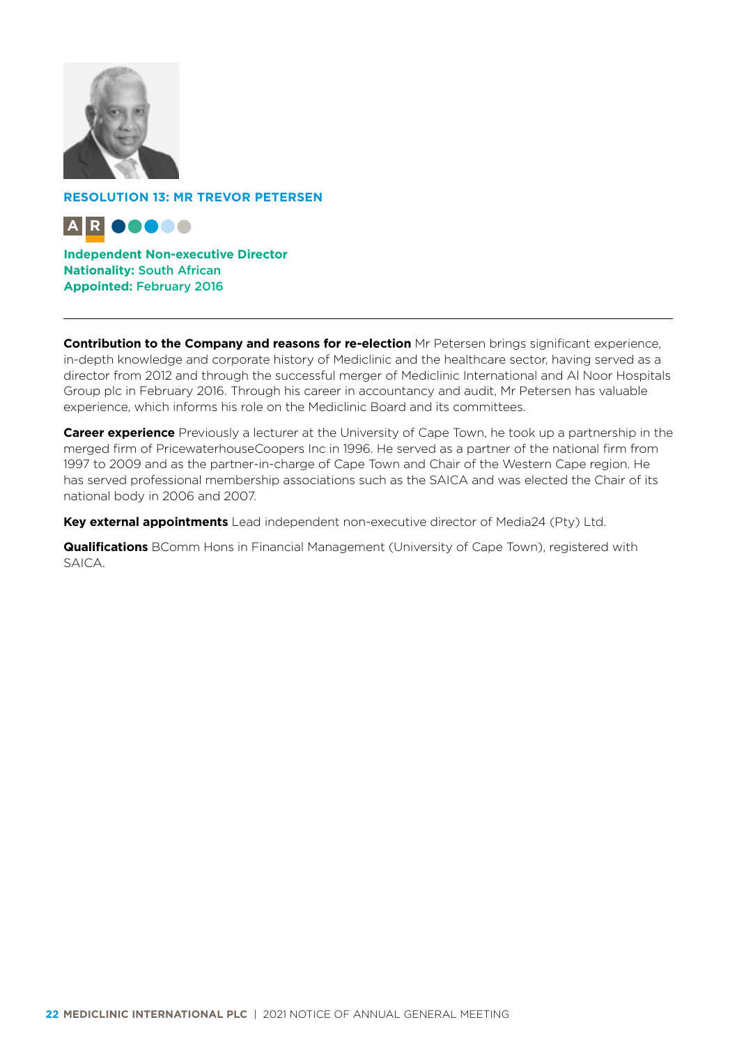

**RESOLUTION 13: MR TREVOR PETERSEN**



**Independent Non-executive Director Nationality:** South African **Appointed:** February 2016

**Contribution to the Company and reasons for re-election** Mr Petersen brings significant experience, in-depth knowledge and corporate history of Mediclinic and the healthcare sector, having served as a director from 2012 and through the successful merger of Mediclinic International and Al Noor Hospitals Group plc in February 2016. Through his career in accountancy and audit, Mr Petersen has valuable experience, which informs his role on the Mediclinic Board and its committees.

**Career experience** Previously a lecturer at the University of Cape Town, he took up a partnership in the merged firm of PricewaterhouseCoopers Inc in 1996. He served as a partner of the national firm from 1997 to 2009 and as the partner-in-charge of Cape Town and Chair of the Western Cape region. He has served professional membership associations such as the SAICA and was elected the Chair of its national body in 2006 and 2007.

**Key external appointments** Lead independent non-executive director of Media24 (Pty) Ltd.

**Qualifications** BComm Hons in Financial Management (University of Cape Town), registered with SAICA.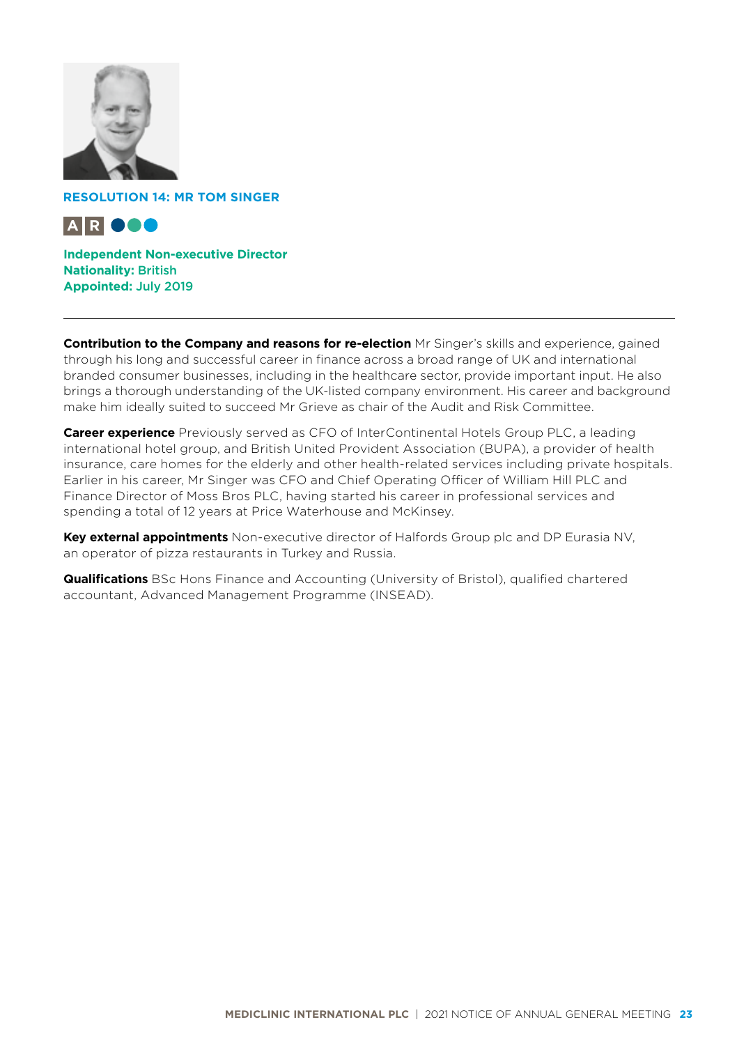

**RESOLUTION 14: MR TOM SINGER**



**Independent Non-executive Director Nationality:** British **Appointed:** July 2019

**Contribution to the Company and reasons for re-election** Mr Singer's skills and experience, gained through his long and successful career in finance across a broad range of UK and international branded consumer businesses, including in the healthcare sector, provide important input. He also brings a thorough understanding of the UK-listed company environment. His career and background make him ideally suited to succeed Mr Grieve as chair of the Audit and Risk Committee.

**Career experience** Previously served as CFO of InterContinental Hotels Group PLC, a leading international hotel group, and British United Provident Association (BUPA), a provider of health insurance, care homes for the elderly and other health-related services including private hospitals. Earlier in his career, Mr Singer was CFO and Chief Operating Officer of William Hill PLC and Finance Director of Moss Bros PLC, having started his career in professional services and spending a total of 12 years at Price Waterhouse and McKinsey.

**Key external appointments** Non-executive director of Halfords Group plc and DP Eurasia NV, an operator of pizza restaurants in Turkey and Russia.

**Qualifications** BSc Hons Finance and Accounting (University of Bristol), qualified chartered accountant, Advanced Management Programme (INSEAD).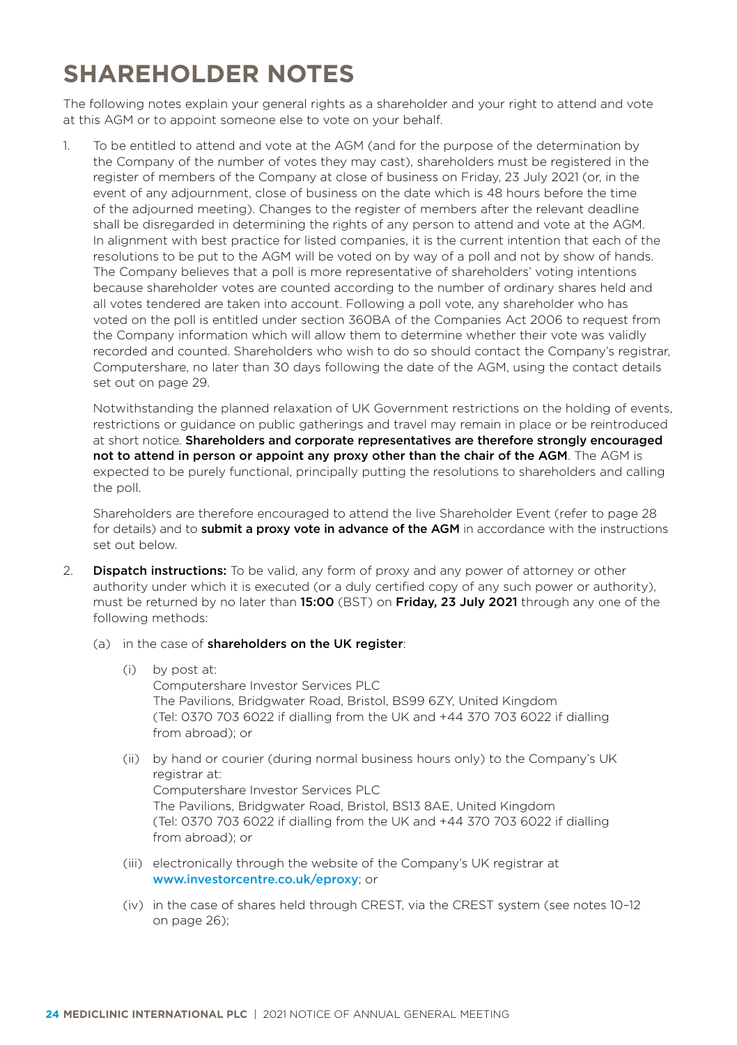# **SHAREHOLDER NOTES**

The following notes explain your general rights as a shareholder and your right to attend and vote at this AGM or to appoint someone else to vote on your behalf.

1. To be entitled to attend and vote at the AGM (and for the purpose of the determination by the Company of the number of votes they may cast), shareholders must be registered in the register of members of the Company at close of business on Friday, 23 July 2021 (or, in the event of any adjournment, close of business on the date which is 48 hours before the time of the adjourned meeting). Changes to the register of members after the relevant deadline shall be disregarded in determining the rights of any person to attend and vote at the AGM. In alignment with best practice for listed companies, it is the current intention that each of the resolutions to be put to the AGM will be voted on by way of a poll and not by show of hands. The Company believes that a poll is more representative of shareholders' voting intentions because shareholder votes are counted according to the number of ordinary shares held and all votes tendered are taken into account. Following a poll vote, any shareholder who has voted on the poll is entitled under section 360BA of the Companies Act 2006 to request from the Company information which will allow them to determine whether their vote was validly recorded and counted. Shareholders who wish to do so should contact the Company's registrar, Computershare, no later than 30 days following the date of the AGM, using the contact details set out on page 29.

Notwithstanding the planned relaxation of UK Government restrictions on the holding of events, restrictions or guidance on public gatherings and travel may remain in place or be reintroduced at short notice. Shareholders and corporate representatives are therefore strongly encouraged not to attend in person or appoint any proxy other than the chair of the AGM. The AGM is expected to be purely functional, principally putting the resolutions to shareholders and calling the poll.

Shareholders are therefore encouraged to attend the live Shareholder Event (refer to page 28 for details) and to **submit a proxy vote in advance of the AGM** in accordance with the instructions set out below.

- 2. **Dispatch instructions:** To be valid, any form of proxy and any power of attorney or other authority under which it is executed (or a duly certified copy of any such power or authority), must be returned by no later than 15:00 (BST) on Friday, 23 July 2021 through any one of the following methods:
	- (a) in the case of **shareholders on the UK register**:
		- (i) by post at: Computershare Investor Services PLC The Pavilions, Bridgwater Road, Bristol, BS99 6ZY, United Kingdom (Tel: 0370 703 6022 if dialling from the UK and +44 370 703 6022 if dialling from abroad); or
		- (ii) by hand or courier (during normal business hours only) to the Company's UK registrar at: Computershare Investor Services PLC The Pavilions, Bridgwater Road, Bristol, BS13 8AE, United Kingdom (Tel: 0370 703 6022 if dialling from the UK and +44 370 703 6022 if dialling from abroad); or
		- (iii) electronically through the website of the Company's UK registrar at [www.investorcentre.co.uk/eproxy](http://www.investorcentre.co.uk/eproxy); or
		- (iv) in the case of shares held through CREST, via the CREST system (see notes 10–12 on page 26);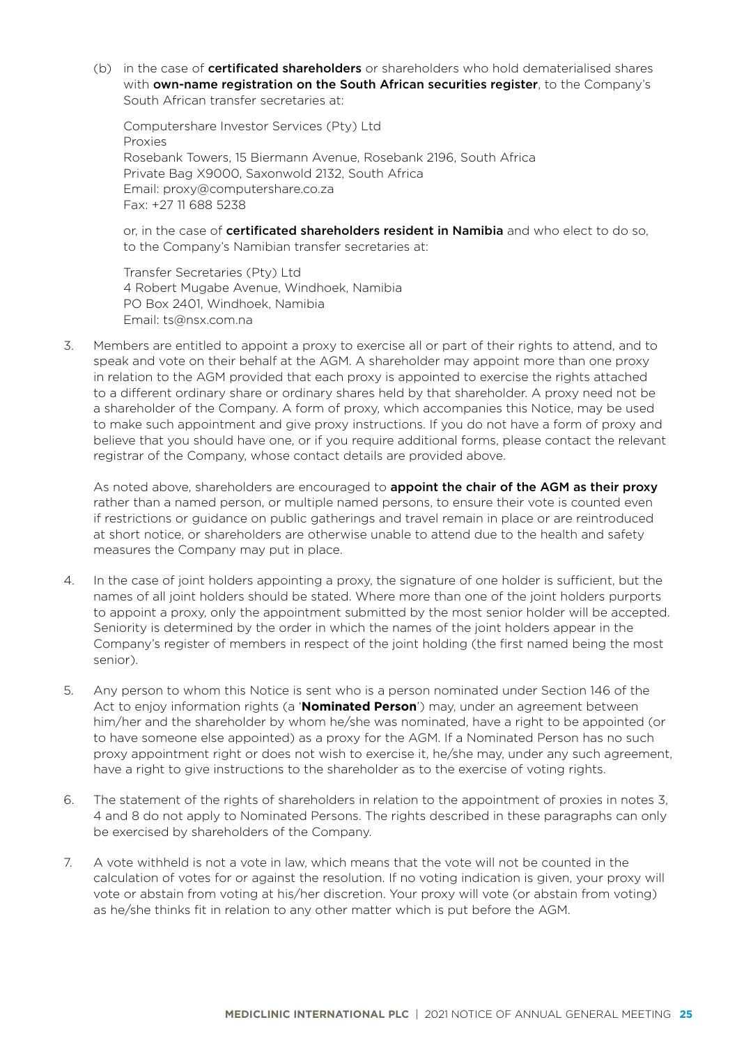(b) in the case of **certificated shareholders** or shareholders who hold dematerialised shares with own-name registration on the South African securities register, to the Company's South African transfer secretaries at:

Computershare Investor Services (Pty) Ltd Proxies Rosebank Towers, 15 Biermann Avenue, Rosebank 2196, South Africa Private Bag X9000, Saxonwold 2132, South Africa Email: [proxy@computershare.co.za](mailto:proxy@computershare.co.za) Fax: +27 11 688 5238

or, in the case of **certificated shareholders resident in Namibia** and who elect to do so, to the Company's Namibian transfer secretaries at:

Transfer Secretaries (Pty) Ltd 4 Robert Mugabe Avenue, Windhoek, Namibia PO Box 2401, Windhoek, Namibia Email: [ts@nsx.com.na](mailto:ts@nsx.com.na)

3. Members are entitled to appoint a proxy to exercise all or part of their rights to attend, and to speak and vote on their behalf at the AGM. A shareholder may appoint more than one proxy in relation to the AGM provided that each proxy is appointed to exercise the rights attached to a different ordinary share or ordinary shares held by that shareholder. A proxy need not be a shareholder of the Company. A form of proxy, which accompanies this Notice, may be used to make such appointment and give proxy instructions. If you do not have a form of proxy and believe that you should have one, or if you require additional forms, please contact the relevant registrar of the Company, whose contact details are provided above.

As noted above, shareholders are encouraged to **appoint the chair of the AGM as their proxy** rather than a named person, or multiple named persons, to ensure their vote is counted even if restrictions or guidance on public gatherings and travel remain in place or are reintroduced at short notice, or shareholders are otherwise unable to attend due to the health and safety measures the Company may put in place.

- 4. In the case of joint holders appointing a proxy, the signature of one holder is sufficient, but the names of all joint holders should be stated. Where more than one of the joint holders purports to appoint a proxy, only the appointment submitted by the most senior holder will be accepted. Seniority is determined by the order in which the names of the joint holders appear in the Company's register of members in respect of the joint holding (the first named being the most senior).
- 5. Any person to whom this Notice is sent who is a person nominated under Section 146 of the Act to enjoy information rights (a '**Nominated Person**') may, under an agreement between him/her and the shareholder by whom he/she was nominated, have a right to be appointed (or to have someone else appointed) as a proxy for the AGM. If a Nominated Person has no such proxy appointment right or does not wish to exercise it, he/she may, under any such agreement, have a right to give instructions to the shareholder as to the exercise of voting rights.
- 6. The statement of the rights of shareholders in relation to the appointment of proxies in notes 3, 4 and 8 do not apply to Nominated Persons. The rights described in these paragraphs can only be exercised by shareholders of the Company.
- 7. A vote withheld is not a vote in law, which means that the vote will not be counted in the calculation of votes for or against the resolution. If no voting indication is given, your proxy will vote or abstain from voting at his/her discretion. Your proxy will vote (or abstain from voting) as he/she thinks fit in relation to any other matter which is put before the AGM.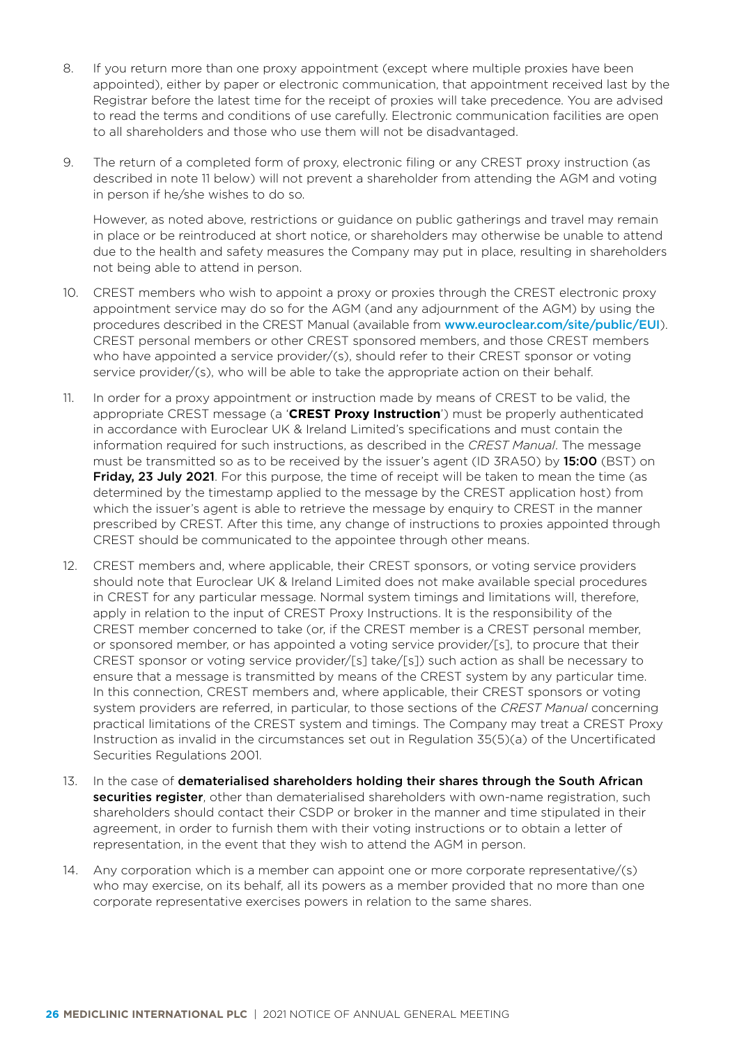- 8. If you return more than one proxy appointment (except where multiple proxies have been appointed), either by paper or electronic communication, that appointment received last by the Registrar before the latest time for the receipt of proxies will take precedence. You are advised to read the terms and conditions of use carefully. Electronic communication facilities are open to all shareholders and those who use them will not be disadvantaged.
- 9. The return of a completed form of proxy, electronic filing or any CREST proxy instruction (as described in note 11 below) will not prevent a shareholder from attending the AGM and voting in person if he/she wishes to do so.

However, as noted above, restrictions or guidance on public gatherings and travel may remain in place or be reintroduced at short notice, or shareholders may otherwise be unable to attend due to the health and safety measures the Company may put in place, resulting in shareholders not being able to attend in person.

- 10. CREST members who wish to appoint a proxy or proxies through the CREST electronic proxy appointment service may do so for the AGM (and any adjournment of the AGM) by using the procedures described in the CREST Manual (available from [www.euroclear.com/site/public/EUI](http://www.euroclear.com/site/public/EUI)). CREST personal members or other CREST sponsored members, and those CREST members who have appointed a service provider/(s), should refer to their CREST sponsor or voting service provider/(s), who will be able to take the appropriate action on their behalf.
- 11. In order for a proxy appointment or instruction made by means of CREST to be valid, the appropriate CREST message (a '**CREST Proxy Instruction**') must be properly authenticated in accordance with Euroclear UK & Ireland Limited's specifications and must contain the information required for such instructions, as described in the *CREST Manual*. The message must be transmitted so as to be received by the issuer's agent (ID 3RA50) by 15:00 (BST) on Friday, 23 July 2021. For this purpose, the time of receipt will be taken to mean the time (as determined by the timestamp applied to the message by the CREST application host) from which the issuer's agent is able to retrieve the message by enquiry to CREST in the manner prescribed by CREST. After this time, any change of instructions to proxies appointed through CREST should be communicated to the appointee through other means.
- 12. CREST members and, where applicable, their CREST sponsors, or voting service providers should note that Euroclear UK & Ireland Limited does not make available special procedures in CREST for any particular message. Normal system timings and limitations will, therefore, apply in relation to the input of CREST Proxy Instructions. It is the responsibility of the CREST member concerned to take (or, if the CREST member is a CREST personal member, or sponsored member, or has appointed a voting service provider/[s], to procure that their CREST sponsor or voting service provider/[s] take/[s]) such action as shall be necessary to ensure that a message is transmitted by means of the CREST system by any particular time. In this connection, CREST members and, where applicable, their CREST sponsors or voting system providers are referred, in particular, to those sections of the *CREST Manual* concerning practical limitations of the CREST system and timings. The Company may treat a CREST Proxy Instruction as invalid in the circumstances set out in Regulation 35(5)(a) of the Uncertificated Securities Regulations 2001.
- 13. In the case of dematerialised shareholders holding their shares through the South African securities register, other than dematerialised shareholders with own-name registration, such shareholders should contact their CSDP or broker in the manner and time stipulated in their agreement, in order to furnish them with their voting instructions or to obtain a letter of representation, in the event that they wish to attend the AGM in person.
- 14. Any corporation which is a member can appoint one or more corporate representative/(s) who may exercise, on its behalf, all its powers as a member provided that no more than one corporate representative exercises powers in relation to the same shares.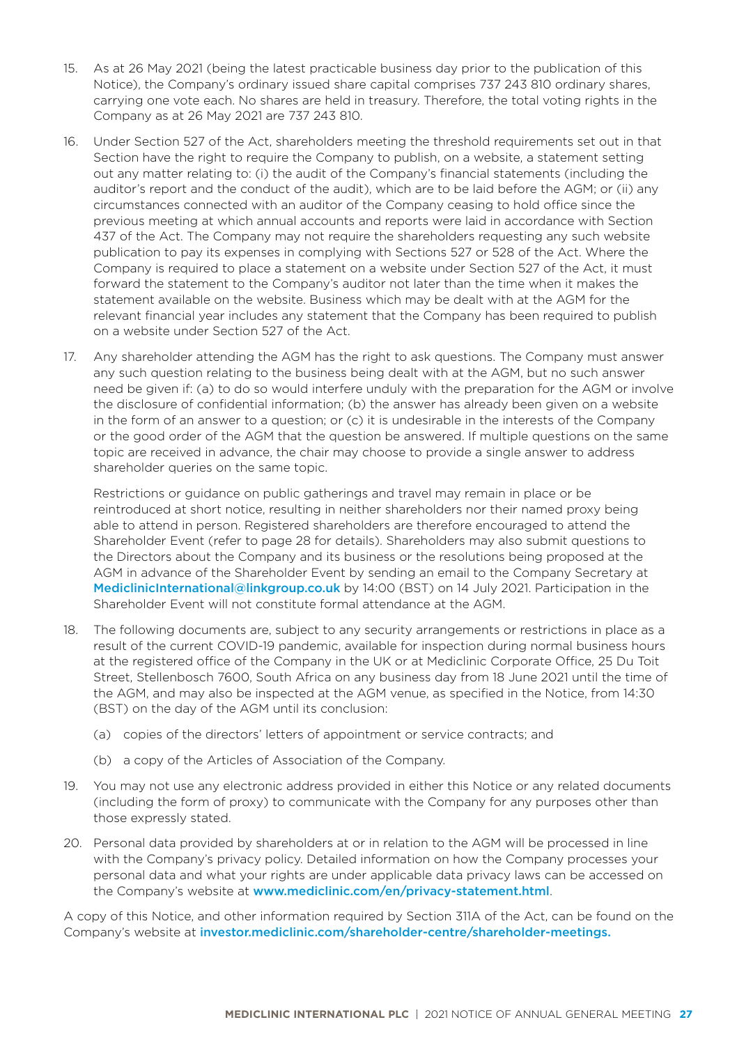- 15. As at 26 May 2021 (being the latest practicable business day prior to the publication of this Notice), the Company's ordinary issued share capital comprises 737 243 810 ordinary shares, carrying one vote each. No shares are held in treasury. Therefore, the total voting rights in the Company as at 26 May 2021 are 737 243 810.
- 16. Under Section 527 of the Act, shareholders meeting the threshold requirements set out in that Section have the right to require the Company to publish, on a website, a statement setting out any matter relating to: (i) the audit of the Company's financial statements (including the auditor's report and the conduct of the audit), which are to be laid before the AGM; or (ii) any circumstances connected with an auditor of the Company ceasing to hold office since the previous meeting at which annual accounts and reports were laid in accordance with Section 437 of the Act. The Company may not require the shareholders requesting any such website publication to pay its expenses in complying with Sections 527 or 528 of the Act. Where the Company is required to place a statement on a website under Section 527 of the Act, it must forward the statement to the Company's auditor not later than the time when it makes the statement available on the website. Business which may be dealt with at the AGM for the relevant financial year includes any statement that the Company has been required to publish on a website under Section 527 of the Act.
- 17. Any shareholder attending the AGM has the right to ask questions. The Company must answer any such question relating to the business being dealt with at the AGM, but no such answer need be given if: (a) to do so would interfere unduly with the preparation for the AGM or involve the disclosure of confidential information; (b) the answer has already been given on a website in the form of an answer to a question; or (c) it is undesirable in the interests of the Company or the good order of the AGM that the question be answered. If multiple questions on the same topic are received in advance, the chair may choose to provide a single answer to address shareholder queries on the same topic.

Restrictions or guidance on public gatherings and travel may remain in place or be reintroduced at short notice, resulting in neither shareholders nor their named proxy being able to attend in person. Registered shareholders are therefore encouraged to attend the Shareholder Event (refer to page 28 for details). Shareholders may also submit questions to the Directors about the Company and its business or the resolutions being proposed at the AGM in advance of the Shareholder Event by sending an email to the Company Secretary at [MediclinicInternational@linkgroup.co.uk](mailto:MediclinicInternational%40linkgroup.co.uk?subject=) by 14:00 (BST) on 14 July 2021. Participation in the Shareholder Event will not constitute formal attendance at the AGM.

- 18. The following documents are, subject to any security arrangements or restrictions in place as a result of the current COVID-19 pandemic, available for inspection during normal business hours at the registered office of the Company in the UK or at Mediclinic Corporate Office, 25 Du Toit Street, Stellenbosch 7600, South Africa on any business day from 18 June 2021 until the time of the AGM, and may also be inspected at the AGM venue, as specified in the Notice, from 14:30 (BST) on the day of the AGM until its conclusion:
	- (a) copies of the directors' letters of appointment or service contracts; and
	- (b) a copy of the Articles of Association of the Company.
- 19. You may not use any electronic address provided in either this Notice or any related documents (including the form of proxy) to communicate with the Company for any purposes other than those expressly stated.
- 20. Personal data provided by shareholders at or in relation to the AGM will be processed in line with the Company's privacy policy. Detailed information on how the Company processes your personal data and what your rights are under applicable data privacy laws can be accessed on the Company's website at [www.mediclinic.com/en/privacy-statement.html](https://www.mediclinic.com/en/privacy-statement.html).

A copy of this Notice, and other information required by Section 311A of the Act, can be found on the Company's website at investo[r.mediclinic.com](http://investor.mediclinic.com/results-centre/results-and-reports)/shareholder-centre/shareholder-meetings.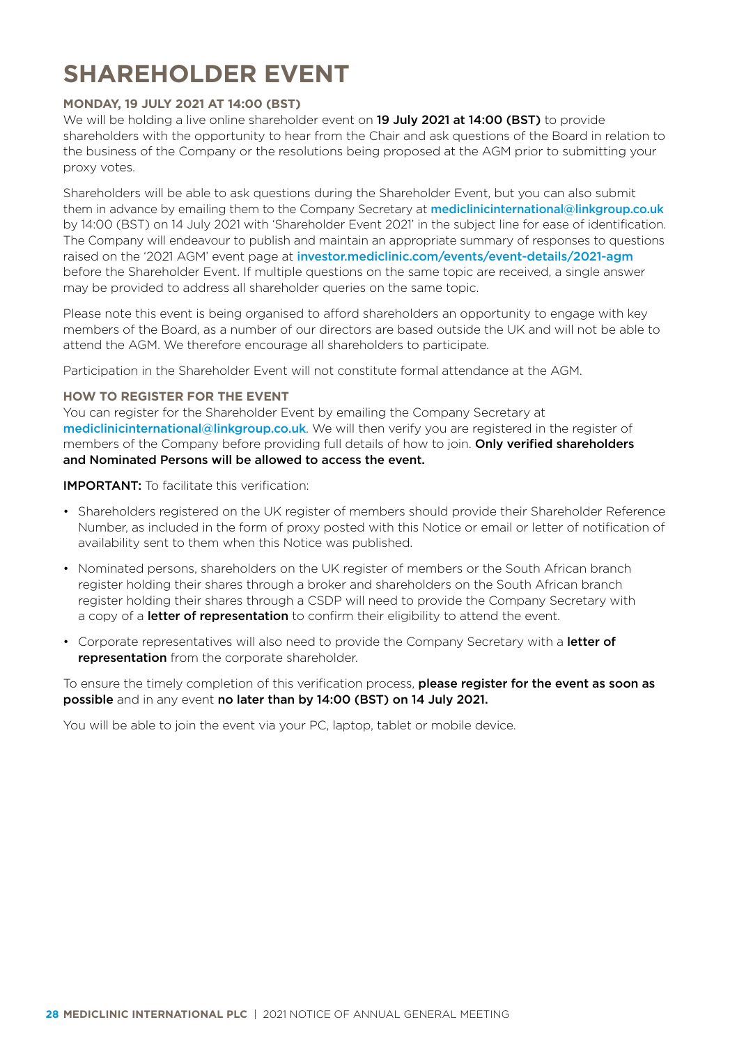## **SHAREHOLDER EVENT**

### **MONDAY, 19 JULY 2021 AT 14:00 (BST)**

We will be holding a live online shareholder event on 19 July 2021 at 14:00 (BST) to provide shareholders with the opportunity to hear from the Chair and ask questions of the Board in relation to the business of the Company or the resolutions being proposed at the AGM prior to submitting your proxy votes.

Shareholders will be able to ask questions during the Shareholder Event, but you can also submit them in advance by emailing them to the Company Secretary at [mediclinicinternational@linkgroup.co.uk](mailto:mediclinicinternational@linkgroup.co.uk) by 14:00 (BST) on 14 July 2021 with 'Shareholder Event 2021' in the subject line for ease of identification. The Company will endeavour to publish and maintain an appropriate summary of responses to questions raised on the '2021 AGM' event page at [investor.mediclinic.com/events/event-details/2021-agm](http://investor.mediclinic.com/events/event-details/2021-agm) before the Shareholder Event. If multiple questions on the same topic are received, a single answer may be provided to address all shareholder queries on the same topic.

Please note this event is being organised to afford shareholders an opportunity to engage with key members of the Board, as a number of our directors are based outside the UK and will not be able to attend the AGM. We therefore encourage all shareholders to participate.

Participation in the Shareholder Event will not constitute formal attendance at the AGM.

#### **HOW TO REGISTER FOR THE EVENT**

You can register for the Shareholder Event by emailing the Company Secretary at [mediclinicinternational@linkgroup.co.uk](mailto:mediclinicinternational@linkgroup.co.uk). We will then verify you are registered in the register of members of the Company before providing full details of how to join. Only verified shareholders and Nominated Persons will be allowed to access the event.

IMPORTANT: To facilitate this verification:

- Shareholders registered on the UK register of members should provide their Shareholder Reference Number, as included in the form of proxy posted with this Notice or email or letter of notification of availability sent to them when this Notice was published.
- Nominated persons, shareholders on the UK register of members or the South African branch register holding their shares through a broker and shareholders on the South African branch register holding their shares through a CSDP will need to provide the Company Secretary with a copy of a letter of representation to confirm their eligibility to attend the event.
- Corporate representatives will also need to provide the Company Secretary with a letter of representation from the corporate shareholder.

To ensure the timely completion of this verification process, please register for the event as soon as possible and in any event no later than by 14:00 (BST) on 14 July 2021.

You will be able to join the event via your PC, laptop, tablet or mobile device.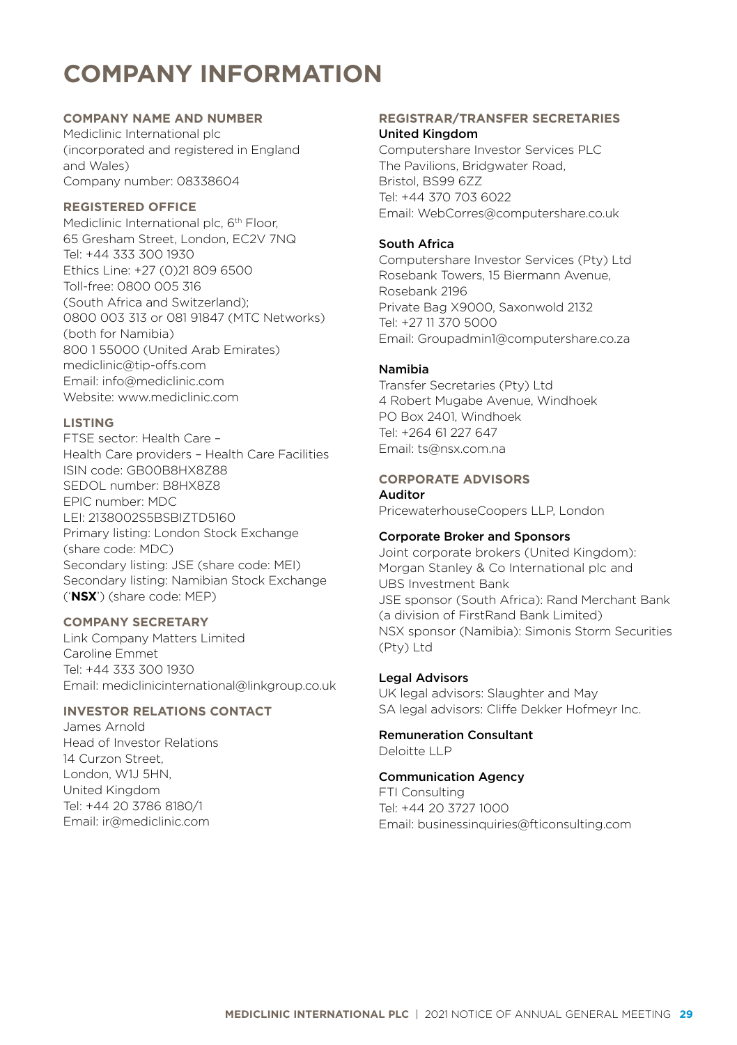## **COMPANY INFORMATION**

## **COMPANY NAME AND NUMBER**

Mediclinic International plc (incorporated and registered in England and Wales) Company number: 08338604

### **REGISTERED OFFICE**

Mediclinic International plc, 6<sup>th</sup> Floor, 65 Gresham Street, London, EC2V 7NQ Tel: +44 333 300 1930 Ethics Line: +27 (0)21 809 6500 Toll-free: 0800 005 316 (South Africa and Switzerland); 0800 003 313 or 081 91847 (MTC Networks) (both for Namibia) 800 1 55000 (United Arab Emirates) [mediclinic@tip-offs.com](mailto:mediclinic%40tip-offs.com%20?subject=)  Email: [info@mediclinic.com](mailto:info%40mediclinic.com%20?subject=)  Website: [www.mediclinic.com](http://www.mediclinic.com ) 

## **LISTING**

FTSE sector: Health Care – Health Care providers – Health Care Facilities ISIN code: GB00B8HX8Z88 SEDOL number: B8HX8Z8 EPIC number: MDC LEI: 2138002S5BSBIZTD5160 Primary listing: London Stock Exchange (share code: MDC) Secondary listing: JSE (share code: MEI) Secondary listing: Namibian Stock Exchange ('**NSX**') (share code: MEP)

## **COMPANY SECRETARY**

Link Company Matters Limited Caroline Emmet Tel: +44 333 300 1930 Email: [mediclinicinternational@linkgroup.co.uk](mailto:mediclinicinternational%40linkgroup.co.uk%20?subject=) 

## **INVESTOR RELATIONS CONTACT**

James Arnold Head of Investor Relations 14 Curzon Street, London, W1J 5HN, United Kingdom Tel: +44 20 3786 8180/1 Email: [ir@mediclinic.com](mailto:ir%40mediclinic.com?subject=)

### **REGISTRAR/TRANSFER SECRETARIES** United Kingdom

Computershare Investor Services PLC The Pavilions, Bridgwater Road, Bristol, BS99 6ZZ Tel: +44 370 703 6022 Email: [WebCorres@computershare.co.uk](mailto:WebCorres%40computershare.co.uk?subject=)

## South Africa

Computershare Investor Services (Pty) Ltd Rosebank Towers, 15 Biermann Avenue, Rosebank 2196 Private Bag X9000, Saxonwold 2132 Tel: +27 11 370 5000 Email: [Groupadmin1@computershare.co.za](mailto:Groupadmin1%40computershare.co.za?subject=)

## Namibia

Transfer Secretaries (Pty) Ltd 4 Robert Mugabe Avenue, Windhoek PO Box 2401, Windhoek Tel: +264 61 227 647 Email: [ts@nsx.com.na](mailto:ts%40nsx.com.na?subject=)

## **CORPORATE ADVISORS**

Auditor

PricewaterhouseCoopers LLP, London

## Corporate Broker and Sponsors

Joint corporate brokers (United Kingdom): Morgan Stanley & Co International plc and UBS Investment Bank JSE sponsor (South Africa): Rand Merchant Bank (a division of FirstRand Bank Limited) NSX sponsor (Namibia): Simonis Storm Securities (Pty) Ltd

## Legal Advisors

UK legal advisors: Slaughter and May SA legal advisors: Cliffe Dekker Hofmeyr Inc.

Remuneration Consultant Deloitte LLP

## Communication Agency

FTI Consulting Tel: +44 20 3727 1000 Email: [businessinquiries@fticonsulting.com](mailto:businessinquiries%40fticonsulting.com?subject=)